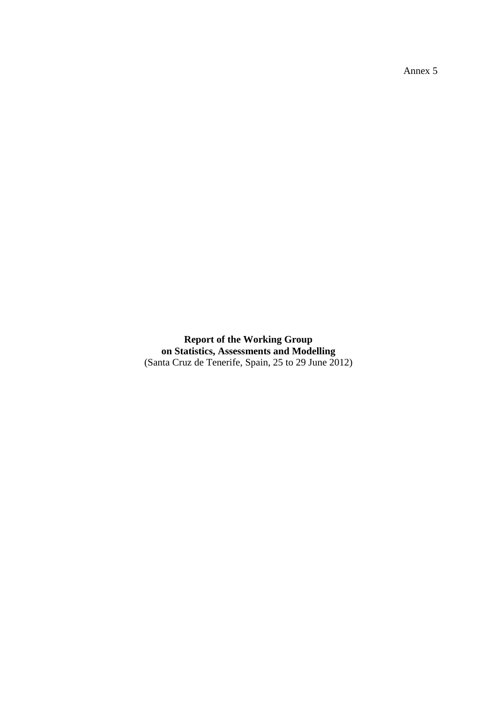Annex 5

**Report of the Working Group on Statistics, Assessments and Modelling** (Santa Cruz de Tenerife, Spain, 25 to 29 June 2012)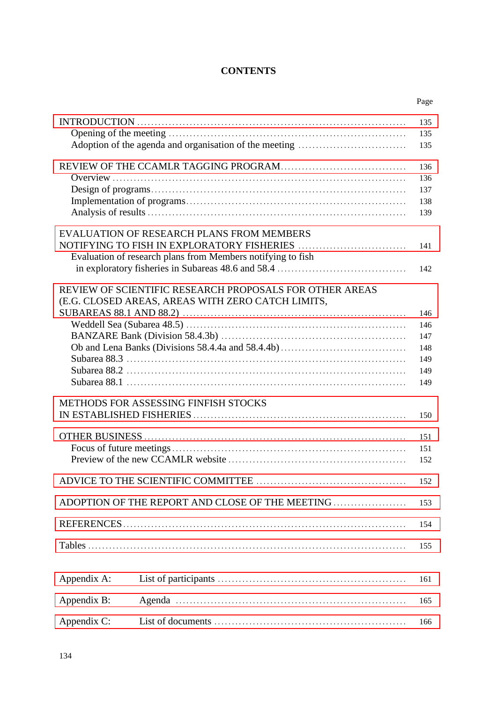# **CONTENTS**

| 135<br>135<br>135<br>136<br>136<br>137<br>138<br>139<br><b>EVALUATION OF RESEARCH PLANS FROM MEMBERS</b><br>NOTIFYING TO FISH IN EXPLORATORY FISHERIES<br>141<br>Evaluation of research plans from Members notifying to fish<br>142 |
|-------------------------------------------------------------------------------------------------------------------------------------------------------------------------------------------------------------------------------------|
|                                                                                                                                                                                                                                     |
|                                                                                                                                                                                                                                     |
|                                                                                                                                                                                                                                     |
|                                                                                                                                                                                                                                     |
|                                                                                                                                                                                                                                     |
|                                                                                                                                                                                                                                     |
|                                                                                                                                                                                                                                     |
|                                                                                                                                                                                                                                     |
|                                                                                                                                                                                                                                     |
|                                                                                                                                                                                                                                     |
|                                                                                                                                                                                                                                     |
|                                                                                                                                                                                                                                     |
| REVIEW OF SCIENTIFIC RESEARCH PROPOSALS FOR OTHER AREAS                                                                                                                                                                             |
| (E.G. CLOSED AREAS, AREAS WITH ZERO CATCH LIMITS,                                                                                                                                                                                   |
| 146                                                                                                                                                                                                                                 |
| 146                                                                                                                                                                                                                                 |
| 147                                                                                                                                                                                                                                 |
| 148                                                                                                                                                                                                                                 |
| 149                                                                                                                                                                                                                                 |
| 149                                                                                                                                                                                                                                 |
| 149                                                                                                                                                                                                                                 |
| METHODS FOR ASSESSING FINFISH STOCKS                                                                                                                                                                                                |
| 150                                                                                                                                                                                                                                 |
|                                                                                                                                                                                                                                     |
| 151                                                                                                                                                                                                                                 |
| 151                                                                                                                                                                                                                                 |
| 152                                                                                                                                                                                                                                 |
| 152                                                                                                                                                                                                                                 |
| 153                                                                                                                                                                                                                                 |
|                                                                                                                                                                                                                                     |
| 154                                                                                                                                                                                                                                 |
| 155                                                                                                                                                                                                                                 |
| Appendix A:<br>161                                                                                                                                                                                                                  |
| Appendix B:<br>165                                                                                                                                                                                                                  |
| Appendix C:<br>166                                                                                                                                                                                                                  |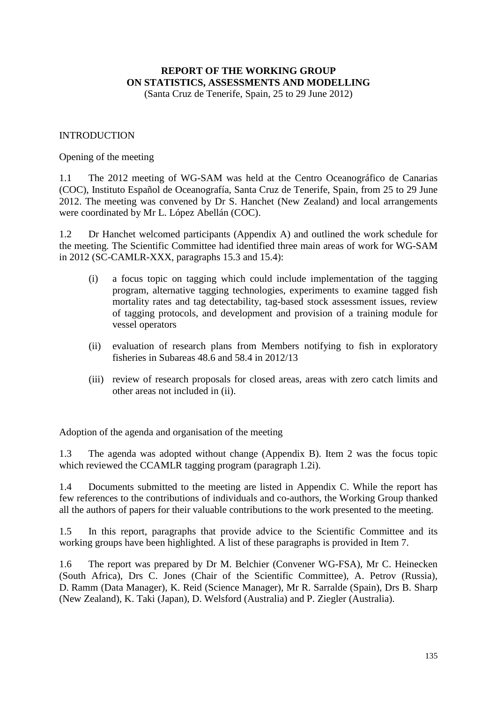# <span id="page-2-0"></span>**REPORT OF THE WORKING GROUP ON STATISTICS, ASSESSMENTS AND MODELLING**

(Santa Cruz de Tenerife, Spain, 25 to 29 June 2012)

#### INTRODUCTION

#### Opening of the meeting

1.1 The 2012 meeting of WG-SAM was held at the Centro Oceanográfico de Canarias (COC), Instituto Español de Oceanografía, Santa Cruz de Tenerife, Spain, from 25 to 29 June 2012. The meeting was convened by Dr S. Hanchet (New Zealand) and local arrangements were coordinated by Mr L. López Abellán (COC).

1.2 Dr Hanchet welcomed participants (Appendix A) and outlined the work schedule for the meeting. The Scientific Committee had identified three main areas of work for WG-SAM in 2012 (SC-CAMLR-XXX, paragraphs 15.3 and 15.4):

- (i) a focus topic on tagging which could include implementation of the tagging program, alternative tagging technologies, experiments to examine tagged fish mortality rates and tag detectability, tag-based stock assessment issues, review of tagging protocols, and development and provision of a training module for vessel operators
- (ii) evaluation of research plans from Members notifying to fish in exploratory fisheries in Subareas 48.6 and 58.4 in 2012/13
- (iii) review of research proposals for closed areas, areas with zero catch limits and other areas not included in (ii).

Adoption of the agenda and organisation of the meeting

1.3 The agenda was adopted without change (Appendix B). Item 2 was the focus topic which reviewed the CCAMLR tagging program (paragraph 1.2i).

1.4 Documents submitted to the meeting are listed in Appendix C. While the report has few references to the contributions of individuals and co-authors, the Working Group thanked all the authors of papers for their valuable contributions to the work presented to the meeting.

1.5 In this report, paragraphs that provide advice to the Scientific Committee and its working groups have been highlighted. A list of these paragraphs is provided in Item 7.

1.6 The report was prepared by Dr M. Belchier (Convener WG-FSA), Mr C. Heinecken (South Africa), Drs C. Jones (Chair of the Scientific Committee), A. Petrov (Russia), D. Ramm (Data Manager), K. Reid (Science Manager), Mr R. Sarralde (Spain), Drs B. Sharp (New Zealand), K. Taki (Japan), D. Welsford (Australia) and P. Ziegler (Australia).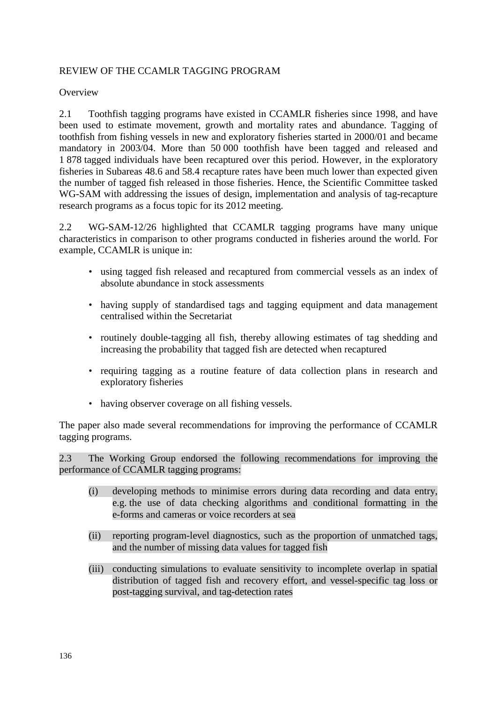# <span id="page-3-0"></span>REVIEW OF THE CCAMLR TAGGING PROGRAM

**Overview** 

2.1 Toothfish tagging programs have existed in CCAMLR fisheries since 1998, and have been used to estimate movement, growth and mortality rates and abundance. Tagging of toothfish from fishing vessels in new and exploratory fisheries started in 2000/01 and became mandatory in 2003/04. More than 50 000 toothfish have been tagged and released and 1 878 tagged individuals have been recaptured over this period. However, in the exploratory fisheries in Subareas 48.6 and 58.4 recapture rates have been much lower than expected given the number of tagged fish released in those fisheries. Hence, the Scientific Committee tasked WG-SAM with addressing the issues of design, implementation and analysis of tag-recapture research programs as a focus topic for its 2012 meeting.

2.2 WG-SAM-12/26 highlighted that CCAMLR tagging programs have many unique characteristics in comparison to other programs conducted in fisheries around the world. For example, CCAMLR is unique in:

- using tagged fish released and recaptured from commercial vessels as an index of absolute abundance in stock assessments
- having supply of standardised tags and tagging equipment and data management centralised within the Secretariat
- routinely double-tagging all fish, thereby allowing estimates of tag shedding and increasing the probability that tagged fish are detected when recaptured
- requiring tagging as a routine feature of data collection plans in research and exploratory fisheries
- having observer coverage on all fishing vessels.

The paper also made several recommendations for improving the performance of CCAMLR tagging programs.

2.3 The Working Group endorsed the following recommendations for improving the performance of CCAMLR tagging programs:

- (i) developing methods to minimise errors during data recording and data entry, e.g. the use of data checking algorithms and conditional formatting in the e-forms and cameras or voice recorders at sea
- (ii) reporting program-level diagnostics, such as the proportion of unmatched tags, and the number of missing data values for tagged fish
- (iii) conducting simulations to evaluate sensitivity to incomplete overlap in spatial distribution of tagged fish and recovery effort, and vessel-specific tag loss or post-tagging survival, and tag-detection rates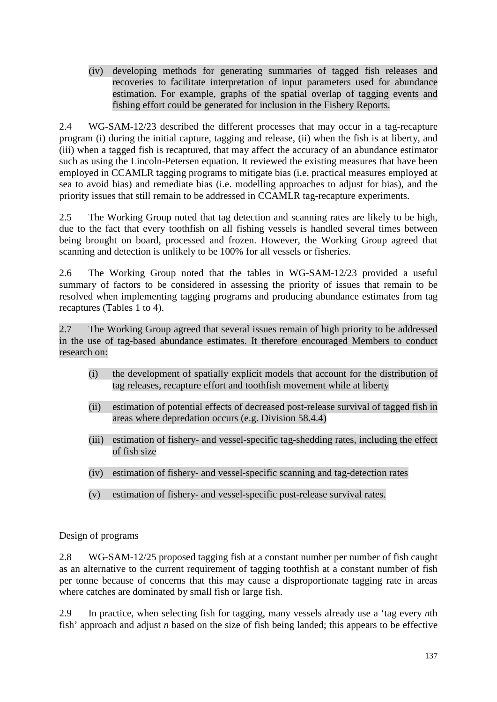(iv) developing methods for generating summaries of tagged fish releases and recoveries to facilitate interpretation of input parameters used for abundance estimation. For example, graphs of the spatial overlap of tagging events and fishing effort could be generated for inclusion in the Fishery Reports.

2.4 WG-SAM-12/23 described the different processes that may occur in a tag-recapture program (i) during the initial capture, tagging and release, (ii) when the fish is at liberty, and (iii) when a tagged fish is recaptured, that may affect the accuracy of an abundance estimator such as using the Lincoln-Petersen equation. It reviewed the existing measures that have been employed in CCAMLR tagging programs to mitigate bias (i.e. practical measures employed at sea to avoid bias) and remediate bias (i.e. modelling approaches to adjust for bias), and the priority issues that still remain to be addressed in CCAMLR tag-recapture experiments.

2.5 The Working Group noted that tag detection and scanning rates are likely to be high, due to the fact that every toothfish on all fishing vessels is handled several times between being brought on board, processed and frozen. However, the Working Group agreed that scanning and detection is unlikely to be 100% for all vessels or fisheries.

2.6 The Working Group noted that the tables in WG-SAM-12/23 provided a useful summary of factors to be considered in assessing the priority of issues that remain to be resolved when implementing tagging programs and producing abundance estimates from tag recaptures (Tables 1 to 4).

2.7 The Working Group agreed that several issues remain of high priority to be addressed in the use of tag-based abundance estimates. It therefore encouraged Members to conduct research on:

- (i) the development of spatially explicit models that account for the distribution of tag releases, recapture effort and toothfish movement while at liberty
- (ii) estimation of potential effects of decreased post-release survival of tagged fish in areas where depredation occurs (e.g. Division 58.4.4)
- (iii) estimation of fishery- and vessel-specific tag-shedding rates, including the effect of fish size
- (iv) estimation of fishery- and vessel-specific scanning and tag-detection rates
- (v) estimation of fishery- and vessel-specific post-release survival rates.

Design of programs

2.8 WG-SAM-12/25 proposed tagging fish at a constant number per number of fish caught as an alternative to the current requirement of tagging toothfish at a constant number of fish per tonne because of concerns that this may cause a disproportionate tagging rate in areas where catches are dominated by small fish or large fish.

2.9 In practice, when selecting fish for tagging, many vessels already use a 'tag every *n*th fish' approach and adjust *n* based on the size of fish being landed; this appears to be effective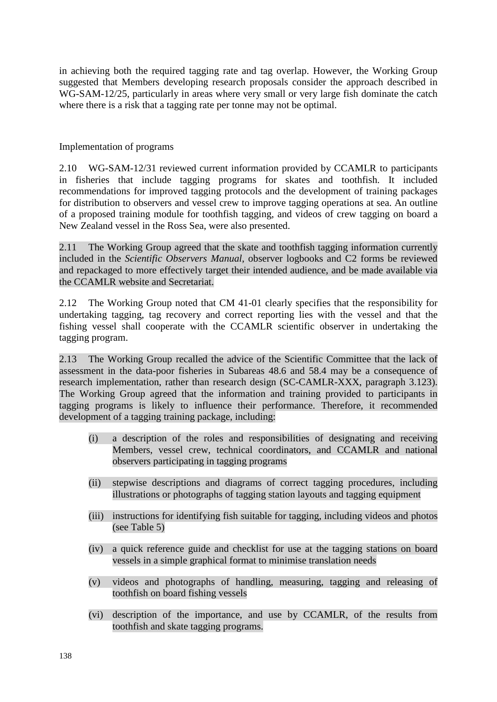in achieving both the required tagging rate and tag overlap. However, the Working Group suggested that Members developing research proposals consider the approach described in WG-SAM-12/25, particularly in areas where very small or very large fish dominate the catch where there is a risk that a tagging rate per tonne may not be optimal.

Implementation of programs

2.10 WG-SAM-12/31 reviewed current information provided by CCAMLR to participants in fisheries that include tagging programs for skates and toothfish. It included recommendations for improved tagging protocols and the development of training packages for distribution to observers and vessel crew to improve tagging operations at sea. An outline of a proposed training module for toothfish tagging, and videos of crew tagging on board a New Zealand vessel in the Ross Sea, were also presented.

2.11 The Working Group agreed that the skate and toothfish tagging information currently included in the *Scientific Observers Manual*, observer logbooks and C2 forms be reviewed and repackaged to more effectively target their intended audience, and be made available via the CCAMLR website and Secretariat.

2.12 The Working Group noted that CM 41-01 clearly specifies that the responsibility for undertaking tagging, tag recovery and correct reporting lies with the vessel and that the fishing vessel shall cooperate with the CCAMLR scientific observer in undertaking the tagging program.

2.13 The Working Group recalled the advice of the Scientific Committee that the lack of assessment in the data-poor fisheries in Subareas 48.6 and 58.4 may be a consequence of research implementation, rather than research design (SC-CAMLR-XXX, paragraph 3.123). The Working Group agreed that the information and training provided to participants in tagging programs is likely to influence their performance. Therefore, it recommended development of a tagging training package, including:

- (i) a description of the roles and responsibilities of designating and receiving Members, vessel crew, technical coordinators, and CCAMLR and national observers participating in tagging programs
- (ii) stepwise descriptions and diagrams of correct tagging procedures, including illustrations or photographs of tagging station layouts and tagging equipment
- (iii) instructions for identifying fish suitable for tagging, including videos and photos (see Table 5)
- (iv) a quick reference guide and checklist for use at the tagging stations on board vessels in a simple graphical format to minimise translation needs
- (v) videos and photographs of handling, measuring, tagging and releasing of toothfish on board fishing vessels
- (vi) description of the importance, and use by CCAMLR, of the results from toothfish and skate tagging programs.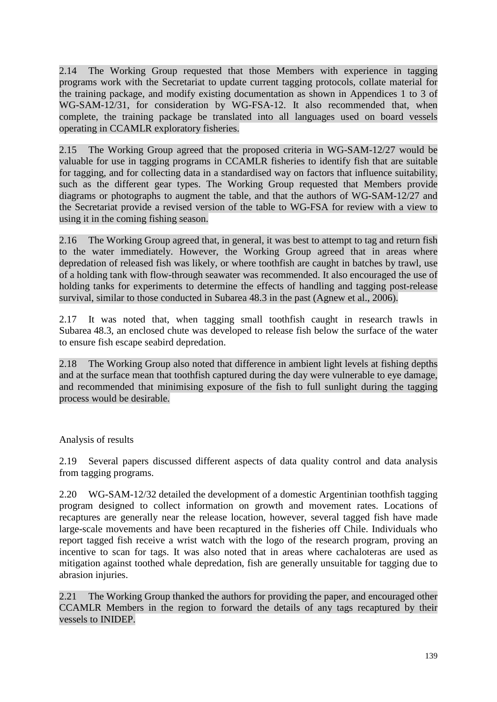2.14 The Working Group requested that those Members with experience in tagging programs work with the Secretariat to update current tagging protocols, collate material for the training package, and modify existing documentation as shown in Appendices 1 to 3 of WG-SAM-12/31, for consideration by WG-FSA-12. It also recommended that, when complete, the training package be translated into all languages used on board vessels operating in CCAMLR exploratory fisheries.

2.15 The Working Group agreed that the proposed criteria in WG-SAM-12/27 would be valuable for use in tagging programs in CCAMLR fisheries to identify fish that are suitable for tagging, and for collecting data in a standardised way on factors that influence suitability, such as the different gear types. The Working Group requested that Members provide diagrams or photographs to augment the table, and that the authors of WG-SAM-12/27 and the Secretariat provide a revised version of the table to WG-FSA for review with a view to using it in the coming fishing season.

2.16 The Working Group agreed that, in general, it was best to attempt to tag and return fish to the water immediately. However, the Working Group agreed that in areas where depredation of released fish was likely, or where toothfish are caught in batches by trawl, use of a holding tank with flow-through seawater was recommended. It also encouraged the use of holding tanks for experiments to determine the effects of handling and tagging post-release survival, similar to those conducted in Subarea 48.3 in the past (Agnew et al., 2006).

2.17 It was noted that, when tagging small toothfish caught in research trawls in Subarea 48.3, an enclosed chute was developed to release fish below the surface of the water to ensure fish escape seabird depredation.

2.18 The Working Group also noted that difference in ambient light levels at fishing depths and at the surface mean that toothfish captured during the day were vulnerable to eye damage, and recommended that minimising exposure of the fish to full sunlight during the tagging process would be desirable.

Analysis of results

2.19 Several papers discussed different aspects of data quality control and data analysis from tagging programs.

2.20 WG-SAM-12/32 detailed the development of a domestic Argentinian toothfish tagging program designed to collect information on growth and movement rates. Locations of recaptures are generally near the release location, however, several tagged fish have made large-scale movements and have been recaptured in the fisheries off Chile. Individuals who report tagged fish receive a wrist watch with the logo of the research program, proving an incentive to scan for tags. It was also noted that in areas where cachaloteras are used as mitigation against toothed whale depredation, fish are generally unsuitable for tagging due to abrasion injuries.

2.21 The Working Group thanked the authors for providing the paper, and encouraged other CCAMLR Members in the region to forward the details of any tags recaptured by their vessels to INIDEP.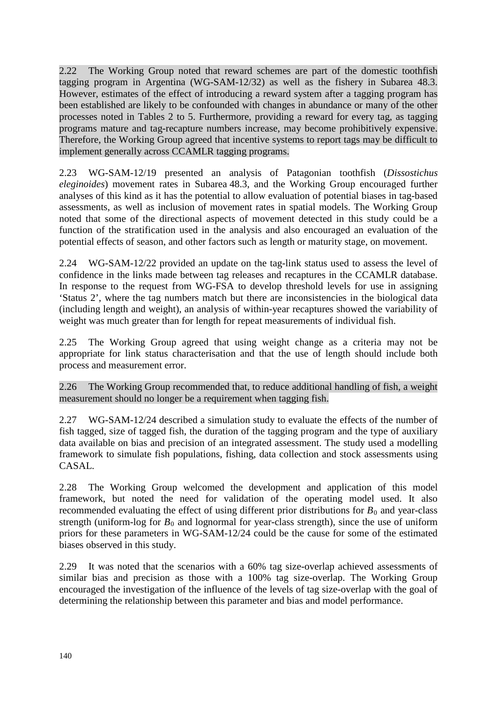2.22 The Working Group noted that reward schemes are part of the domestic toothfish tagging program in Argentina (WG-SAM-12/32) as well as the fishery in Subarea 48.3. However, estimates of the effect of introducing a reward system after a tagging program has been established are likely to be confounded with changes in abundance or many of the other processes noted in Tables 2 to 5. Furthermore, providing a reward for every tag, as tagging programs mature and tag-recapture numbers increase, may become prohibitively expensive. Therefore, the Working Group agreed that incentive systems to report tags may be difficult to implement generally across CCAMLR tagging programs.

2.23 WG-SAM-12/19 presented an analysis of Patagonian toothfish (*Dissostichus eleginoides*) movement rates in Subarea 48.3, and the Working Group encouraged further analyses of this kind as it has the potential to allow evaluation of potential biases in tag-based assessments, as well as inclusion of movement rates in spatial models. The Working Group noted that some of the directional aspects of movement detected in this study could be a function of the stratification used in the analysis and also encouraged an evaluation of the potential effects of season, and other factors such as length or maturity stage, on movement.

2.24 WG-SAM-12/22 provided an update on the tag-link status used to assess the level of confidence in the links made between tag releases and recaptures in the CCAMLR database. In response to the request from WG-FSA to develop threshold levels for use in assigning 'Status 2', where the tag numbers match but there are inconsistencies in the biological data (including length and weight), an analysis of within-year recaptures showed the variability of weight was much greater than for length for repeat measurements of individual fish.

2.25 The Working Group agreed that using weight change as a criteria may not be appropriate for link status characterisation and that the use of length should include both process and measurement error.

2.26 The Working Group recommended that, to reduce additional handling of fish, a weight measurement should no longer be a requirement when tagging fish.

2.27 WG-SAM-12/24 described a simulation study to evaluate the effects of the number of fish tagged, size of tagged fish, the duration of the tagging program and the type of auxiliary data available on bias and precision of an integrated assessment. The study used a modelling framework to simulate fish populations, fishing, data collection and stock assessments using CASAL.

2.28 The Working Group welcomed the development and application of this model framework, but noted the need for validation of the operating model used. It also recommended evaluating the effect of using different prior distributions for  $B_0$  and year-class strength (uniform-log for  $B_0$  and lognormal for year-class strength), since the use of uniform priors for these parameters in WG-SAM-12/24 could be the cause for some of the estimated biases observed in this study.

2.29 It was noted that the scenarios with a 60% tag size-overlap achieved assessments of similar bias and precision as those with a 100% tag size-overlap. The Working Group encouraged the investigation of the influence of the levels of tag size-overlap with the goal of determining the relationship between this parameter and bias and model performance.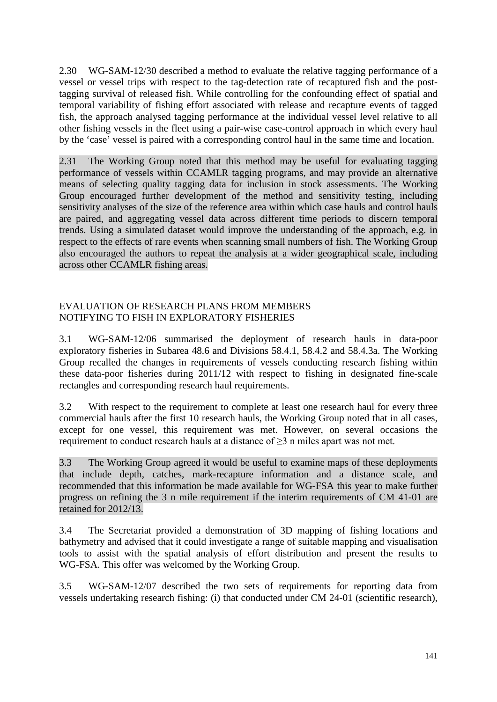<span id="page-8-0"></span>2.30 WG-SAM-12/30 described a method to evaluate the relative tagging performance of a vessel or vessel trips with respect to the tag-detection rate of recaptured fish and the posttagging survival of released fish. While controlling for the confounding effect of spatial and temporal variability of fishing effort associated with release and recapture events of tagged fish, the approach analysed tagging performance at the individual vessel level relative to all other fishing vessels in the fleet using a pair-wise case-control approach in which every haul by the 'case' vessel is paired with a corresponding control haul in the same time and location.

2.31 The Working Group noted that this method may be useful for evaluating tagging performance of vessels within CCAMLR tagging programs, and may provide an alternative means of selecting quality tagging data for inclusion in stock assessments. The Working Group encouraged further development of the method and sensitivity testing, including sensitivity analyses of the size of the reference area within which case hauls and control hauls are paired, and aggregating vessel data across different time periods to discern temporal trends. Using a simulated dataset would improve the understanding of the approach, e.g. in respect to the effects of rare events when scanning small numbers of fish. The Working Group also encouraged the authors to repeat the analysis at a wider geographical scale, including across other CCAMLR fishing areas.

# EVALUATION OF RESEARCH PLANS FROM MEMBERS NOTIFYING TO FISH IN EXPLORATORY FISHERIES

3.1 WG-SAM-12/06 summarised the deployment of research hauls in data-poor exploratory fisheries in Subarea 48.6 and Divisions 58.4.1, 58.4.2 and 58.4.3a. The Working Group recalled the changes in requirements of vessels conducting research fishing within these data-poor fisheries during 2011/12 with respect to fishing in designated fine-scale rectangles and corresponding research haul requirements.

3.2 With respect to the requirement to complete at least one research haul for every three commercial hauls after the first 10 research hauls, the Working Group noted that in all cases, except for one vessel, this requirement was met. However, on several occasions the requirement to conduct research hauls at a distance of ≥3 n miles apart was not met.

3.3 The Working Group agreed it would be useful to examine maps of these deployments that include depth, catches, mark-recapture information and a distance scale, and recommended that this information be made available for WG-FSA this year to make further progress on refining the 3 n mile requirement if the interim requirements of CM 41-01 are retained for 2012/13.

3.4 The Secretariat provided a demonstration of 3D mapping of fishing locations and bathymetry and advised that it could investigate a range of suitable mapping and visualisation tools to assist with the spatial analysis of effort distribution and present the results to WG-FSA. This offer was welcomed by the Working Group.

3.5 WG-SAM-12/07 described the two sets of requirements for reporting data from vessels undertaking research fishing: (i) that conducted under CM 24-01 (scientific research),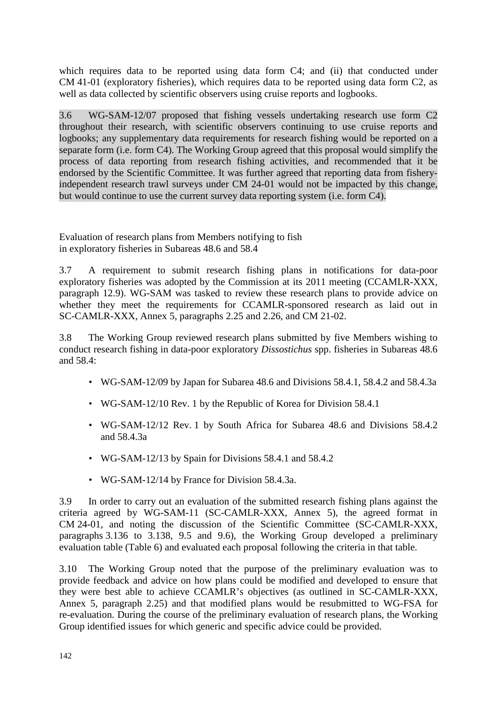which requires data to be reported using data form C4; and (ii) that conducted under CM 41-01 (exploratory fisheries), which requires data to be reported using data form C2, as well as data collected by scientific observers using cruise reports and logbooks.

3.6 WG-SAM-12/07 proposed that fishing vessels undertaking research use form C2 throughout their research, with scientific observers continuing to use cruise reports and logbooks; any supplementary data requirements for research fishing would be reported on a separate form (i.e. form C4). The Working Group agreed that this proposal would simplify the process of data reporting from research fishing activities, and recommended that it be endorsed by the Scientific Committee. It was further agreed that reporting data from fisheryindependent research trawl surveys under CM 24-01 would not be impacted by this change, but would continue to use the current survey data reporting system (i.e. form C4).

Evaluation of research plans from Members notifying to fish in exploratory fisheries in Subareas 48.6 and 58.4

3.7 A requirement to submit research fishing plans in notifications for data-poor exploratory fisheries was adopted by the Commission at its 2011 meeting (CCAMLR-XXX, paragraph 12.9). WG-SAM was tasked to review these research plans to provide advice on whether they meet the requirements for CCAMLR-sponsored research as laid out in SC-CAMLR-XXX, Annex 5, paragraphs 2.25 and 2.26, and CM 21-02.

3.8 The Working Group reviewed research plans submitted by five Members wishing to conduct research fishing in data-poor exploratory *Dissostichus* spp. fisheries in Subareas 48.6 and 58.4:

- WG-SAM-12/09 by Japan for Subarea 48.6 and Divisions 58.4.1, 58.4.2 and 58.4.3a
- WG-SAM-12/10 Rev. 1 by the Republic of Korea for Division 58.4.1
- WG-SAM-12/12 Rev. 1 by South Africa for Subarea 48.6 and Divisions 58.4.2 and 58.4.3a
- WG-SAM-12/13 by Spain for Divisions 58.4.1 and 58.4.2
- WG-SAM-12/14 by France for Division 58.4.3a.

3.9 In order to carry out an evaluation of the submitted research fishing plans against the criteria agreed by WG-SAM-11 (SC-CAMLR-XXX, Annex 5), the agreed format in CM 24-01, and noting the discussion of the Scientific Committee (SC-CAMLR-XXX, paragraphs 3.136 to 3.138, 9.5 and 9.6), the Working Group developed a preliminary evaluation table (Table 6) and evaluated each proposal following the criteria in that table.

3.10 The Working Group noted that the purpose of the preliminary evaluation was to provide feedback and advice on how plans could be modified and developed to ensure that they were best able to achieve CCAMLR's objectives (as outlined in SC-CAMLR-XXX, Annex 5, paragraph 2.25) and that modified plans would be resubmitted to WG-FSA for re-evaluation. During the course of the preliminary evaluation of research plans, the Working Group identified issues for which generic and specific advice could be provided.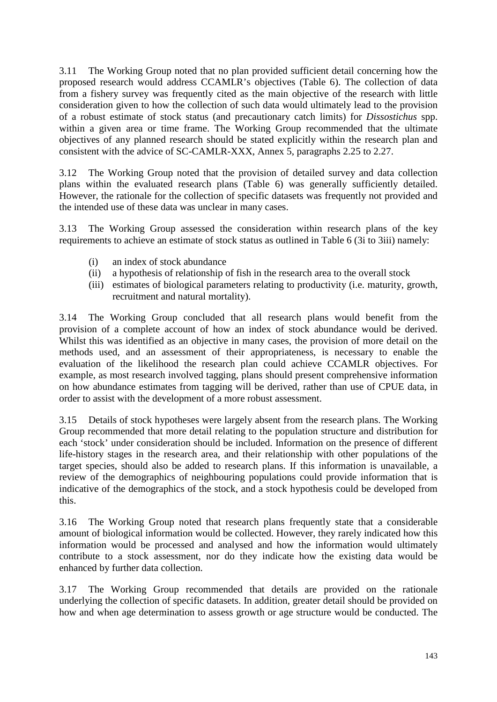3.11 The Working Group noted that no plan provided sufficient detail concerning how the proposed research would address CCAMLR's objectives (Table 6). The collection of data from a fishery survey was frequently cited as the main objective of the research with little consideration given to how the collection of such data would ultimately lead to the provision of a robust estimate of stock status (and precautionary catch limits) for *Dissostichus* spp. within a given area or time frame. The Working Group recommended that the ultimate objectives of any planned research should be stated explicitly within the research plan and consistent with the advice of SC-CAMLR-XXX, Annex 5, paragraphs 2.25 to 2.27.

3.12 The Working Group noted that the provision of detailed survey and data collection plans within the evaluated research plans (Table 6) was generally sufficiently detailed. However, the rationale for the collection of specific datasets was frequently not provided and the intended use of these data was unclear in many cases.

3.13 The Working Group assessed the consideration within research plans of the key requirements to achieve an estimate of stock status as outlined in Table 6 (3i to 3iii) namely:

- (i) an index of stock abundance
- (ii) a hypothesis of relationship of fish in the research area to the overall stock
- (iii) estimates of biological parameters relating to productivity (i.e. maturity, growth, recruitment and natural mortality).

3.14 The Working Group concluded that all research plans would benefit from the provision of a complete account of how an index of stock abundance would be derived. Whilst this was identified as an objective in many cases, the provision of more detail on the methods used, and an assessment of their appropriateness, is necessary to enable the evaluation of the likelihood the research plan could achieve CCAMLR objectives. For example, as most research involved tagging, plans should present comprehensive information on how abundance estimates from tagging will be derived, rather than use of CPUE data, in order to assist with the development of a more robust assessment.

3.15 Details of stock hypotheses were largely absent from the research plans. The Working Group recommended that more detail relating to the population structure and distribution for each 'stock' under consideration should be included. Information on the presence of different life-history stages in the research area, and their relationship with other populations of the target species, should also be added to research plans. If this information is unavailable, a review of the demographics of neighbouring populations could provide information that is indicative of the demographics of the stock, and a stock hypothesis could be developed from this.

3.16 The Working Group noted that research plans frequently state that a considerable amount of biological information would be collected. However, they rarely indicated how this information would be processed and analysed and how the information would ultimately contribute to a stock assessment, nor do they indicate how the existing data would be enhanced by further data collection.

3.17 The Working Group recommended that details are provided on the rationale underlying the collection of specific datasets. In addition, greater detail should be provided on how and when age determination to assess growth or age structure would be conducted. The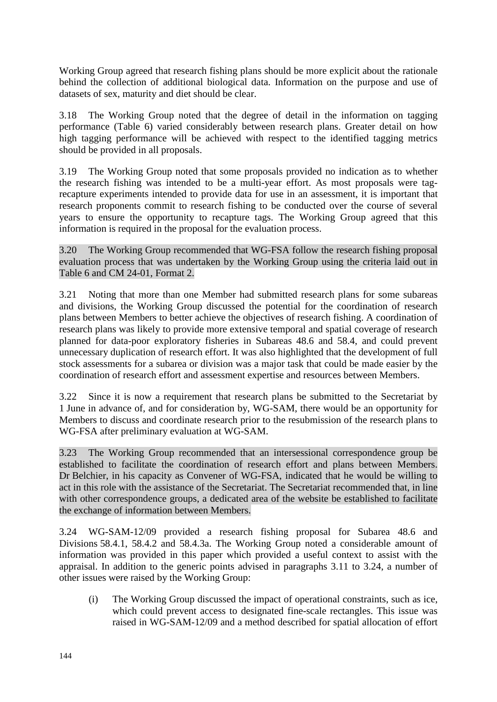Working Group agreed that research fishing plans should be more explicit about the rationale behind the collection of additional biological data. Information on the purpose and use of datasets of sex, maturity and diet should be clear.

3.18 The Working Group noted that the degree of detail in the information on tagging performance (Table 6) varied considerably between research plans. Greater detail on how high tagging performance will be achieved with respect to the identified tagging metrics should be provided in all proposals.

3.19 The Working Group noted that some proposals provided no indication as to whether the research fishing was intended to be a multi-year effort. As most proposals were tagrecapture experiments intended to provide data for use in an assessment, it is important that research proponents commit to research fishing to be conducted over the course of several years to ensure the opportunity to recapture tags. The Working Group agreed that this information is required in the proposal for the evaluation process.

3.20 The Working Group recommended that WG-FSA follow the research fishing proposal evaluation process that was undertaken by the Working Group using the criteria laid out in Table 6 and CM 24-01, Format 2.

3.21 Noting that more than one Member had submitted research plans for some subareas and divisions, the Working Group discussed the potential for the coordination of research plans between Members to better achieve the objectives of research fishing. A coordination of research plans was likely to provide more extensive temporal and spatial coverage of research planned for data-poor exploratory fisheries in Subareas 48.6 and 58.4, and could prevent unnecessary duplication of research effort. It was also highlighted that the development of full stock assessments for a subarea or division was a major task that could be made easier by the coordination of research effort and assessment expertise and resources between Members.

3.22 Since it is now a requirement that research plans be submitted to the Secretariat by 1 June in advance of, and for consideration by, WG-SAM, there would be an opportunity for Members to discuss and coordinate research prior to the resubmission of the research plans to WG-FSA after preliminary evaluation at WG-SAM.

3.23 The Working Group recommended that an intersessional correspondence group be established to facilitate the coordination of research effort and plans between Members. Dr Belchier, in his capacity as Convener of WG-FSA, indicated that he would be willing to act in this role with the assistance of the Secretariat. The Secretariat recommended that, in line with other correspondence groups, a dedicated area of the website be established to facilitate the exchange of information between Members.

3.24 WG-SAM-12/09 provided a research fishing proposal for Subarea 48.6 and Divisions 58.4.1, 58.4.2 and 58.4.3a. The Working Group noted a considerable amount of information was provided in this paper which provided a useful context to assist with the appraisal. In addition to the generic points advised in paragraphs 3.11 to 3.24, a number of other issues were raised by the Working Group:

(i) The Working Group discussed the impact of operational constraints, such as ice, which could prevent access to designated fine-scale rectangles. This issue was raised in WG-SAM-12/09 and a method described for spatial allocation of effort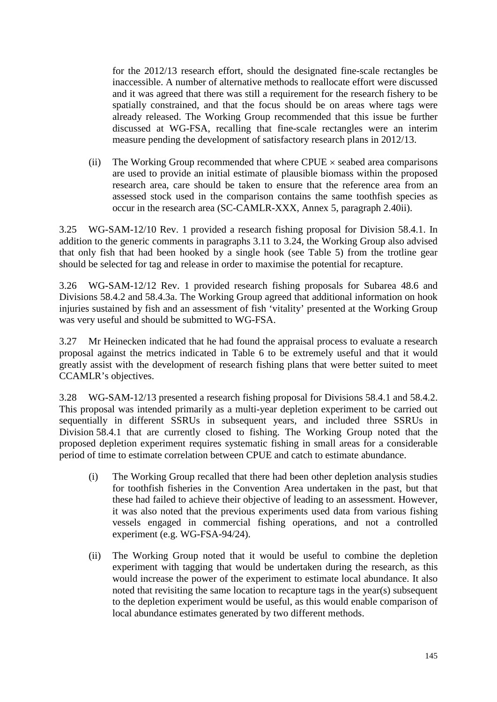for the 2012/13 research effort, should the designated fine-scale rectangles be inaccessible. A number of alternative methods to reallocate effort were discussed and it was agreed that there was still a requirement for the research fishery to be spatially constrained, and that the focus should be on areas where tags were already released. The Working Group recommended that this issue be further discussed at WG-FSA, recalling that fine-scale rectangles were an interim measure pending the development of satisfactory research plans in 2012/13.

(ii) The Working Group recommended that where  $CPUE \times$  seabed area comparisons are used to provide an initial estimate of plausible biomass within the proposed research area, care should be taken to ensure that the reference area from an assessed stock used in the comparison contains the same toothfish species as occur in the research area (SC-CAMLR-XXX, Annex 5, paragraph 2.40ii).

3.25 WG-SAM-12/10 Rev. 1 provided a research fishing proposal for Division 58.4.1. In addition to the generic comments in paragraphs 3.11 to 3.24, the Working Group also advised that only fish that had been hooked by a single hook (see Table 5) from the trotline gear should be selected for tag and release in order to maximise the potential for recapture.

3.26 WG-SAM-12/12 Rev. 1 provided research fishing proposals for Subarea 48.6 and Divisions 58.4.2 and 58.4.3a. The Working Group agreed that additional information on hook injuries sustained by fish and an assessment of fish 'vitality' presented at the Working Group was very useful and should be submitted to WG-FSA.

3.27 Mr Heinecken indicated that he had found the appraisal process to evaluate a research proposal against the metrics indicated in Table 6 to be extremely useful and that it would greatly assist with the development of research fishing plans that were better suited to meet CCAMLR's objectives.

3.28 WG-SAM-12/13 presented a research fishing proposal for Divisions 58.4.1 and 58.4.2. This proposal was intended primarily as a multi-year depletion experiment to be carried out sequentially in different SSRUs in subsequent years, and included three SSRUs in Division 58.4.1 that are currently closed to fishing. The Working Group noted that the proposed depletion experiment requires systematic fishing in small areas for a considerable period of time to estimate correlation between CPUE and catch to estimate abundance.

- (i) The Working Group recalled that there had been other depletion analysis studies for toothfish fisheries in the Convention Area undertaken in the past, but that these had failed to achieve their objective of leading to an assessment. However, it was also noted that the previous experiments used data from various fishing vessels engaged in commercial fishing operations, and not a controlled experiment (e.g. WG-FSA-94/24).
- (ii) The Working Group noted that it would be useful to combine the depletion experiment with tagging that would be undertaken during the research, as this would increase the power of the experiment to estimate local abundance. It also noted that revisiting the same location to recapture tags in the year(s) subsequent to the depletion experiment would be useful, as this would enable comparison of local abundance estimates generated by two different methods.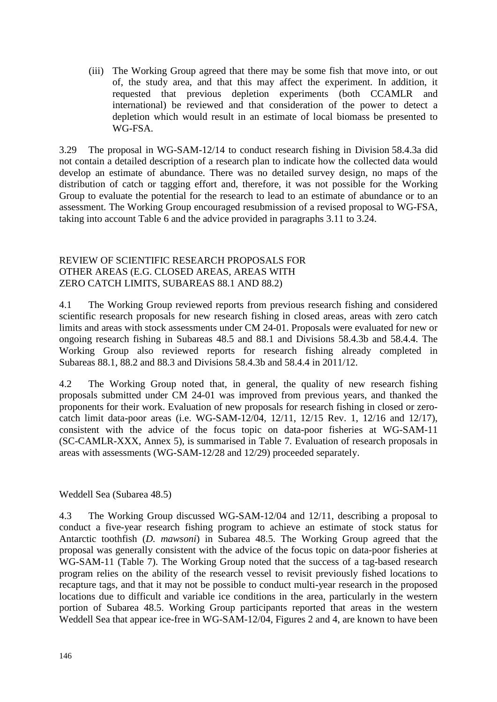<span id="page-13-0"></span>(iii) The Working Group agreed that there may be some fish that move into, or out of, the study area, and that this may affect the experiment. In addition, it requested that previous depletion experiments (both CCAMLR and international) be reviewed and that consideration of the power to detect a depletion which would result in an estimate of local biomass be presented to WG-FSA.

3.29 The proposal in WG-SAM-12/14 to conduct research fishing in Division 58.4.3a did not contain a detailed description of a research plan to indicate how the collected data would develop an estimate of abundance. There was no detailed survey design, no maps of the distribution of catch or tagging effort and, therefore, it was not possible for the Working Group to evaluate the potential for the research to lead to an estimate of abundance or to an assessment. The Working Group encouraged resubmission of a revised proposal to WG-FSA, taking into account Table 6 and the advice provided in paragraphs 3.11 to 3.24.

#### REVIEW OF SCIENTIFIC RESEARCH PROPOSALS FOR OTHER AREAS (E.G. CLOSED AREAS, AREAS WITH ZERO CATCH LIMITS, SUBAREAS 88.1 AND 88.2)

4.1 The Working Group reviewed reports from previous research fishing and considered scientific research proposals for new research fishing in closed areas, areas with zero catch limits and areas with stock assessments under CM 24-01. Proposals were evaluated for new or ongoing research fishing in Subareas 48.5 and 88.1 and Divisions 58.4.3b and 58.4.4. The Working Group also reviewed reports for research fishing already completed in Subareas 88.1, 88.2 and 88.3 and Divisions 58.4.3b and 58.4.4 in 2011/12.

4.2 The Working Group noted that, in general, the quality of new research fishing proposals submitted under CM 24-01 was improved from previous years, and thanked the proponents for their work. Evaluation of new proposals for research fishing in closed or zerocatch limit data-poor areas (i.e. WG-SAM-12/04, 12/11, 12/15 Rev. 1, 12/16 and 12/17), consistent with the advice of the focus topic on data-poor fisheries at WG-SAM-11 (SC-CAMLR-XXX, Annex 5), is summarised in Table 7. Evaluation of research proposals in areas with assessments (WG-SAM-12/28 and 12/29) proceeded separately.

Weddell Sea (Subarea 48.5)

4.3 The Working Group discussed WG-SAM-12/04 and 12/11, describing a proposal to conduct a five-year research fishing program to achieve an estimate of stock status for Antarctic toothfish (*D. mawsoni*) in Subarea 48.5. The Working Group agreed that the proposal was generally consistent with the advice of the focus topic on data-poor fisheries at WG-SAM-11 (Table 7). The Working Group noted that the success of a tag-based research program relies on the ability of the research vessel to revisit previously fished locations to recapture tags, and that it may not be possible to conduct multi-year research in the proposed locations due to difficult and variable ice conditions in the area, particularly in the western portion of Subarea 48.5. Working Group participants reported that areas in the western Weddell Sea that appear ice-free in WG-SAM-12/04, Figures 2 and 4, are known to have been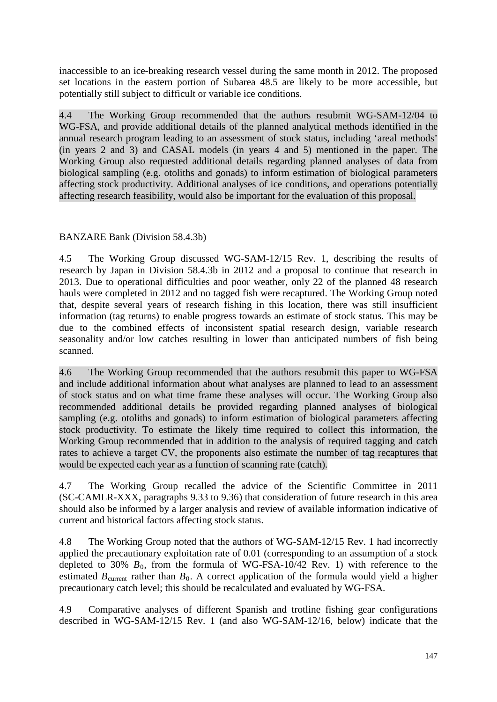inaccessible to an ice-breaking research vessel during the same month in 2012. The proposed set locations in the eastern portion of Subarea 48.5 are likely to be more accessible, but potentially still subject to difficult or variable ice conditions.

4.4 The Working Group recommended that the authors resubmit WG-SAM-12/04 to WG-FSA, and provide additional details of the planned analytical methods identified in the annual research program leading to an assessment of stock status, including 'areal methods' (in years 2 and 3) and CASAL models (in years 4 and 5) mentioned in the paper. The Working Group also requested additional details regarding planned analyses of data from biological sampling (e.g. otoliths and gonads) to inform estimation of biological parameters affecting stock productivity. Additional analyses of ice conditions, and operations potentially affecting research feasibility, would also be important for the evaluation of this proposal.

# BANZARE Bank (Division 58.4.3b)

4.5 The Working Group discussed WG-SAM-12/15 Rev. 1, describing the results of research by Japan in Division 58.4.3b in 2012 and a proposal to continue that research in 2013. Due to operational difficulties and poor weather, only 22 of the planned 48 research hauls were completed in 2012 and no tagged fish were recaptured. The Working Group noted that, despite several years of research fishing in this location, there was still insufficient information (tag returns) to enable progress towards an estimate of stock status. This may be due to the combined effects of inconsistent spatial research design, variable research seasonality and/or low catches resulting in lower than anticipated numbers of fish being scanned.

4.6 The Working Group recommended that the authors resubmit this paper to WG-FSA and include additional information about what analyses are planned to lead to an assessment of stock status and on what time frame these analyses will occur. The Working Group also recommended additional details be provided regarding planned analyses of biological sampling (e.g. otoliths and gonads) to inform estimation of biological parameters affecting stock productivity. To estimate the likely time required to collect this information, the Working Group recommended that in addition to the analysis of required tagging and catch rates to achieve a target CV, the proponents also estimate the number of tag recaptures that would be expected each year as a function of scanning rate (catch).

4.7 The Working Group recalled the advice of the Scientific Committee in 2011 (SC-CAMLR-XXX, paragraphs 9.33 to 9.36) that consideration of future research in this area should also be informed by a larger analysis and review of available information indicative of current and historical factors affecting stock status.

4.8 The Working Group noted that the authors of WG-SAM-12/15 Rev. 1 had incorrectly applied the precautionary exploitation rate of 0.01 (corresponding to an assumption of a stock depleted to 30%  $B_0$ , from the formula of WG-FSA-10/42 Rev. 1) with reference to the estimated  $B_{\text{current}}$  rather than  $B_0$ . A correct application of the formula would yield a higher precautionary catch level; this should be recalculated and evaluated by WG-FSA.

4.9 Comparative analyses of different Spanish and trotline fishing gear configurations described in WG-SAM-12/15 Rev. 1 (and also WG-SAM-12/16, below) indicate that the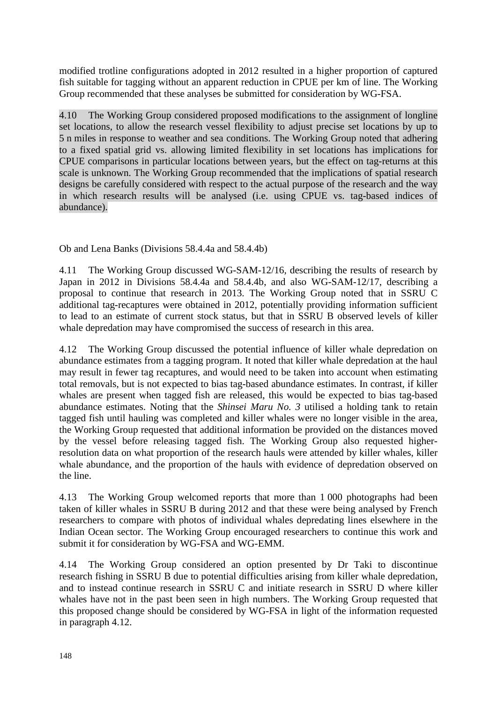modified trotline configurations adopted in 2012 resulted in a higher proportion of captured fish suitable for tagging without an apparent reduction in CPUE per km of line. The Working Group recommended that these analyses be submitted for consideration by WG-FSA.

4.10 The Working Group considered proposed modifications to the assignment of longline set locations, to allow the research vessel flexibility to adjust precise set locations by up to 5 n miles in response to weather and sea conditions. The Working Group noted that adhering to a fixed spatial grid vs. allowing limited flexibility in set locations has implications for CPUE comparisons in particular locations between years, but the effect on tag-returns at this scale is unknown. The Working Group recommended that the implications of spatial research designs be carefully considered with respect to the actual purpose of the research and the way in which research results will be analysed (i.e. using CPUE vs. tag-based indices of abundance).

Ob and Lena Banks (Divisions 58.4.4a and 58.4.4b)

4.11 The Working Group discussed WG-SAM-12/16, describing the results of research by Japan in 2012 in Divisions 58.4.4a and 58.4.4b, and also WG-SAM-12/17, describing a proposal to continue that research in 2013. The Working Group noted that in SSRU C additional tag-recaptures were obtained in 2012, potentially providing information sufficient to lead to an estimate of current stock status, but that in SSRU B observed levels of killer whale depredation may have compromised the success of research in this area.

4.12 The Working Group discussed the potential influence of killer whale depredation on abundance estimates from a tagging program. It noted that killer whale depredation at the haul may result in fewer tag recaptures, and would need to be taken into account when estimating total removals, but is not expected to bias tag-based abundance estimates. In contrast, if killer whales are present when tagged fish are released, this would be expected to bias tag-based abundance estimates. Noting that the *Shinsei Maru No. 3* utilised a holding tank to retain tagged fish until hauling was completed and killer whales were no longer visible in the area, the Working Group requested that additional information be provided on the distances moved by the vessel before releasing tagged fish. The Working Group also requested higherresolution data on what proportion of the research hauls were attended by killer whales, killer whale abundance, and the proportion of the hauls with evidence of depredation observed on the line.

4.13 The Working Group welcomed reports that more than 1 000 photographs had been taken of killer whales in SSRU B during 2012 and that these were being analysed by French researchers to compare with photos of individual whales depredating lines elsewhere in the Indian Ocean sector. The Working Group encouraged researchers to continue this work and submit it for consideration by WG-FSA and WG-EMM.

4.14 The Working Group considered an option presented by Dr Taki to discontinue research fishing in SSRU B due to potential difficulties arising from killer whale depredation, and to instead continue research in SSRU C and initiate research in SSRU D where killer whales have not in the past been seen in high numbers. The Working Group requested that this proposed change should be considered by WG-FSA in light of the information requested in paragraph 4.12.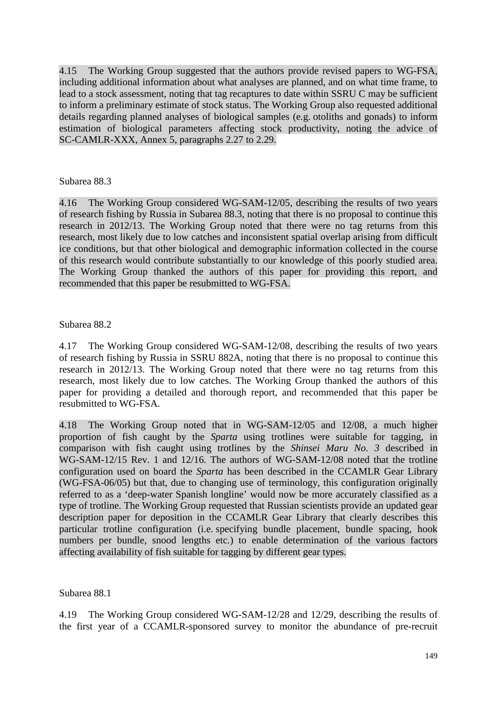4.15 The Working Group suggested that the authors provide revised papers to WG-FSA, including additional information about what analyses are planned, and on what time frame, to lead to a stock assessment, noting that tag recaptures to date within SSRU C may be sufficient to inform a preliminary estimate of stock status. The Working Group also requested additional details regarding planned analyses of biological samples (e.g. otoliths and gonads) to inform estimation of biological parameters affecting stock productivity, noting the advice of SC-CAMLR-XXX, Annex 5, paragraphs 2.27 to 2.29.

### Subarea 88.3

4.16 The Working Group considered WG-SAM-12/05, describing the results of two years of research fishing by Russia in Subarea 88.3, noting that there is no proposal to continue this research in 2012/13. The Working Group noted that there were no tag returns from this research, most likely due to low catches and inconsistent spatial overlap arising from difficult ice conditions, but that other biological and demographic information collected in the course of this research would contribute substantially to our knowledge of this poorly studied area. The Working Group thanked the authors of this paper for providing this report, and recommended that this paper be resubmitted to WG-FSA.

### Subarea 88.2

4.17 The Working Group considered WG-SAM-12/08, describing the results of two years of research fishing by Russia in SSRU 882A, noting that there is no proposal to continue this research in 2012/13. The Working Group noted that there were no tag returns from this research, most likely due to low catches. The Working Group thanked the authors of this paper for providing a detailed and thorough report, and recommended that this paper be resubmitted to WG-FSA.

4.18 The Working Group noted that in WG-SAM-12/05 and 12/08, a much higher proportion of fish caught by the *Sparta* using trotlines were suitable for tagging, in comparison with fish caught using trotlines by the *Shinsei Maru No. 3* described in WG-SAM-12/15 Rev. 1 and 12/16. The authors of WG-SAM-12/08 noted that the trotline configuration used on board the *Sparta* has been described in the CCAMLR Gear Library (WG-FSA-06/05) but that, due to changing use of terminology, this configuration originally referred to as a 'deep-water Spanish longline' would now be more accurately classified as a type of trotline. The Working Group requested that Russian scientists provide an updated gear description paper for deposition in the CCAMLR Gear Library that clearly describes this particular trotline configuration (i.e. specifying bundle placement, bundle spacing, hook numbers per bundle, snood lengths etc.) to enable determination of the various factors affecting availability of fish suitable for tagging by different gear types.

Subarea 88.1

4.19 The Working Group considered WG-SAM-12/28 and 12/29, describing the results of the first year of a CCAMLR-sponsored survey to monitor the abundance of pre-recruit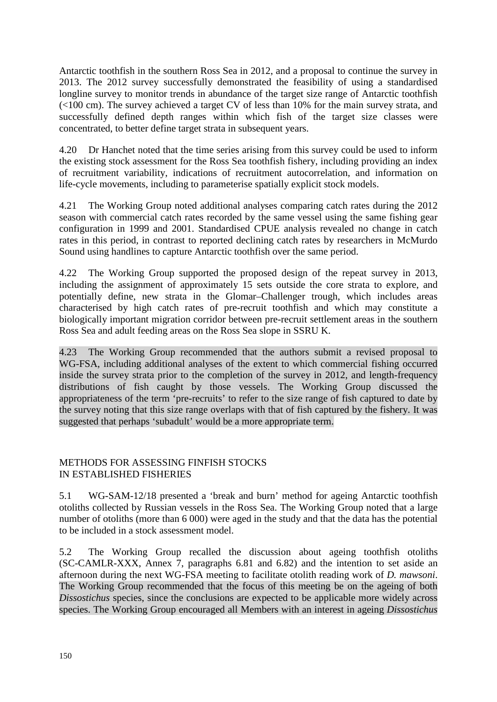<span id="page-17-0"></span>Antarctic toothfish in the southern Ross Sea in 2012, and a proposal to continue the survey in 2013. The 2012 survey successfully demonstrated the feasibility of using a standardised longline survey to monitor trends in abundance of the target size range of Antarctic toothfish (<100 cm). The survey achieved a target CV of less than 10% for the main survey strata, and successfully defined depth ranges within which fish of the target size classes were concentrated, to better define target strata in subsequent years.

4.20 Dr Hanchet noted that the time series arising from this survey could be used to inform the existing stock assessment for the Ross Sea toothfish fishery, including providing an index of recruitment variability, indications of recruitment autocorrelation, and information on life-cycle movements, including to parameterise spatially explicit stock models.

4.21 The Working Group noted additional analyses comparing catch rates during the 2012 season with commercial catch rates recorded by the same vessel using the same fishing gear configuration in 1999 and 2001. Standardised CPUE analysis revealed no change in catch rates in this period, in contrast to reported declining catch rates by researchers in McMurdo Sound using handlines to capture Antarctic toothfish over the same period.

4.22 The Working Group supported the proposed design of the repeat survey in 2013, including the assignment of approximately 15 sets outside the core strata to explore, and potentially define, new strata in the Glomar–Challenger trough, which includes areas characterised by high catch rates of pre-recruit toothfish and which may constitute a biologically important migration corridor between pre-recruit settlement areas in the southern Ross Sea and adult feeding areas on the Ross Sea slope in SSRU K.

4.23 The Working Group recommended that the authors submit a revised proposal to WG-FSA, including additional analyses of the extent to which commercial fishing occurred inside the survey strata prior to the completion of the survey in 2012, and length-frequency distributions of fish caught by those vessels. The Working Group discussed the appropriateness of the term 'pre-recruits' to refer to the size range of fish captured to date by the survey noting that this size range overlaps with that of fish captured by the fishery. It was suggested that perhaps 'subadult' would be a more appropriate term.

# METHODS FOR ASSESSING FINFISH STOCKS IN ESTABLISHED FISHERIES

5.1 WG-SAM-12/18 presented a 'break and burn' method for ageing Antarctic toothfish otoliths collected by Russian vessels in the Ross Sea. The Working Group noted that a large number of otoliths (more than 6 000) were aged in the study and that the data has the potential to be included in a stock assessment model.

5.2 The Working Group recalled the discussion about ageing toothfish otoliths (SC-CAMLR-XXX, Annex 7, paragraphs 6.81 and 6.82) and the intention to set aside an afternoon during the next WG-FSA meeting to facilitate otolith reading work of *D. mawsoni*. The Working Group recommended that the focus of this meeting be on the ageing of both *Dissostichus* species, since the conclusions are expected to be applicable more widely across species. The Working Group encouraged all Members with an interest in ageing *Dissostichus*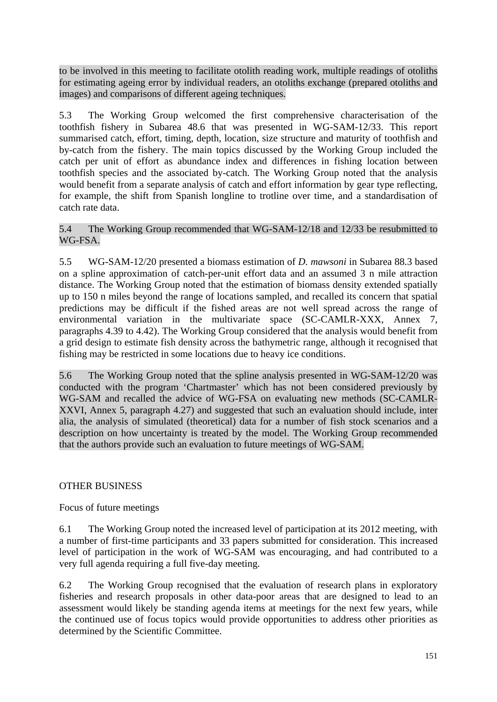<span id="page-18-0"></span>to be involved in this meeting to facilitate otolith reading work, multiple readings of otoliths for estimating ageing error by individual readers, an otoliths exchange (prepared otoliths and images) and comparisons of different ageing techniques.

5.3 The Working Group welcomed the first comprehensive characterisation of the toothfish fishery in Subarea 48.6 that was presented in WG-SAM-12/33. This report summarised catch, effort, timing, depth, location, size structure and maturity of toothfish and by-catch from the fishery. The main topics discussed by the Working Group included the catch per unit of effort as abundance index and differences in fishing location between toothfish species and the associated by-catch. The Working Group noted that the analysis would benefit from a separate analysis of catch and effort information by gear type reflecting, for example, the shift from Spanish longline to trotline over time, and a standardisation of catch rate data.

## 5.4 The Working Group recommended that WG-SAM-12/18 and 12/33 be resubmitted to WG-FSA.

5.5 WG-SAM-12/20 presented a biomass estimation of *D. mawsoni* in Subarea 88.3 based on a spline approximation of catch-per-unit effort data and an assumed 3 n mile attraction distance. The Working Group noted that the estimation of biomass density extended spatially up to 150 n miles beyond the range of locations sampled, and recalled its concern that spatial predictions may be difficult if the fished areas are not well spread across the range of environmental variation in the multivariate space (SC-CAMLR-XXX, Annex 7, paragraphs 4.39 to 4.42). The Working Group considered that the analysis would benefit from a grid design to estimate fish density across the bathymetric range, although it recognised that fishing may be restricted in some locations due to heavy ice conditions.

5.6 The Working Group noted that the spline analysis presented in WG-SAM-12/20 was conducted with the program 'Chartmaster' which has not been considered previously by WG-SAM and recalled the advice of WG-FSA on evaluating new methods (SC-CAMLR-XXVI, Annex 5, paragraph 4.27) and suggested that such an evaluation should include, inter alia, the analysis of simulated (theoretical) data for a number of fish stock scenarios and a description on how uncertainty is treated by the model. The Working Group recommended that the authors provide such an evaluation to future meetings of WG-SAM.

# OTHER BUSINESS

# Focus of future meetings

6.1 The Working Group noted the increased level of participation at its 2012 meeting, with a number of first-time participants and 33 papers submitted for consideration. This increased level of participation in the work of WG-SAM was encouraging, and had contributed to a very full agenda requiring a full five-day meeting.

6.2 The Working Group recognised that the evaluation of research plans in exploratory fisheries and research proposals in other data-poor areas that are designed to lead to an assessment would likely be standing agenda items at meetings for the next few years, while the continued use of focus topics would provide opportunities to address other priorities as determined by the Scientific Committee.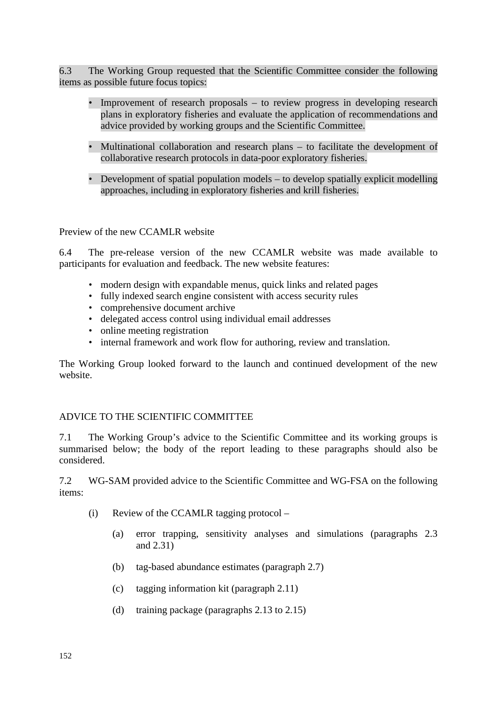<span id="page-19-0"></span>6.3 The Working Group requested that the Scientific Committee consider the following items as possible future focus topics:

- Improvement of research proposals to review progress in developing research plans in exploratory fisheries and evaluate the application of recommendations and advice provided by working groups and the Scientific Committee.
- Multinational collaboration and research plans to facilitate the development of collaborative research protocols in data-poor exploratory fisheries.
- Development of spatial population models to develop spatially explicit modelling approaches, including in exploratory fisheries and krill fisheries.

Preview of the new CCAMLR website

6.4 The pre-release version of the new CCAMLR website was made available to participants for evaluation and feedback. The new website features:

- modern design with expandable menus, quick links and related pages
- fully indexed search engine consistent with access security rules
- comprehensive document archive
- delegated access control using individual email addresses
- online meeting registration
- internal framework and work flow for authoring, review and translation.

The Working Group looked forward to the launch and continued development of the new website.

#### ADVICE TO THE SCIENTIFIC COMMITTEE

7.1 The Working Group's advice to the Scientific Committee and its working groups is summarised below; the body of the report leading to these paragraphs should also be considered.

7.2 WG-SAM provided advice to the Scientific Committee and WG-FSA on the following items:

- (i) Review of the CCAMLR tagging protocol
	- (a) error trapping, sensitivity analyses and simulations (paragraphs 2.3 and 2.31)
	- (b) tag-based abundance estimates (paragraph 2.7)
	- (c) tagging information kit (paragraph 2.11)
	- (d) training package (paragraphs 2.13 to 2.15)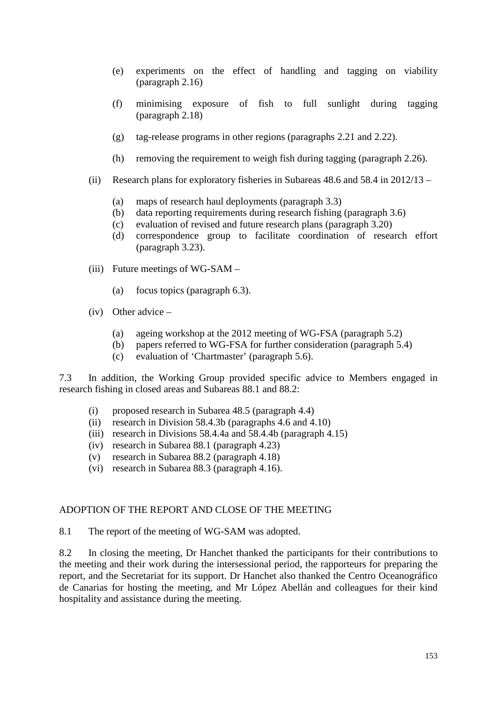- <span id="page-20-0"></span>(e) experiments on the effect of handling and tagging on viability (paragraph 2.16)
- (f) minimising exposure of fish to full sunlight during tagging (paragraph 2.18)
- (g) tag-release programs in other regions (paragraphs 2.21 and 2.22).
- (h) removing the requirement to weigh fish during tagging (paragraph 2.26).
- (ii) Research plans for exploratory fisheries in Subareas 48.6 and 58.4 in 2012/13
	- (a) maps of research haul deployments (paragraph 3.3)
	- (b) data reporting requirements during research fishing (paragraph 3.6)
	- (c) evaluation of revised and future research plans (paragraph 3.20)
	- (d) correspondence group to facilitate coordination of research effort (paragraph 3.23).
- (iii) Future meetings of WG-SAM
	- (a) focus topics (paragraph 6.3).
- (iv) Other advice
	- (a) ageing workshop at the 2012 meeting of WG-FSA (paragraph 5.2)
	- (b) papers referred to WG-FSA for further consideration (paragraph 5.4)
	- (c) evaluation of 'Chartmaster' (paragraph 5.6).

7.3 In addition, the Working Group provided specific advice to Members engaged in research fishing in closed areas and Subareas 88.1 and 88.2:

- (i) proposed research in Subarea 48.5 (paragraph 4.4)
- (ii) research in Division 58.4.3b (paragraphs 4.6 and 4.10)
- (iii) research in Divisions 58.4.4a and 58.4.4b (paragraph 4.15)
- (iv) research in Subarea 88.1 (paragraph 4.23)
- (v) research in Subarea 88.2 (paragraph 4.18)
- (vi) research in Subarea 88.3 (paragraph 4.16).

#### ADOPTION OF THE REPORT AND CLOSE OF THE MEETING

8.1 The report of the meeting of WG-SAM was adopted.

8.2 In closing the meeting, Dr Hanchet thanked the participants for their contributions to the meeting and their work during the intersessional period, the rapporteurs for preparing the report, and the Secretariat for its support. Dr Hanchet also thanked the Centro Oceanográfico de Canarias for hosting the meeting, and Mr López Abellán and colleagues for their kind hospitality and assistance during the meeting.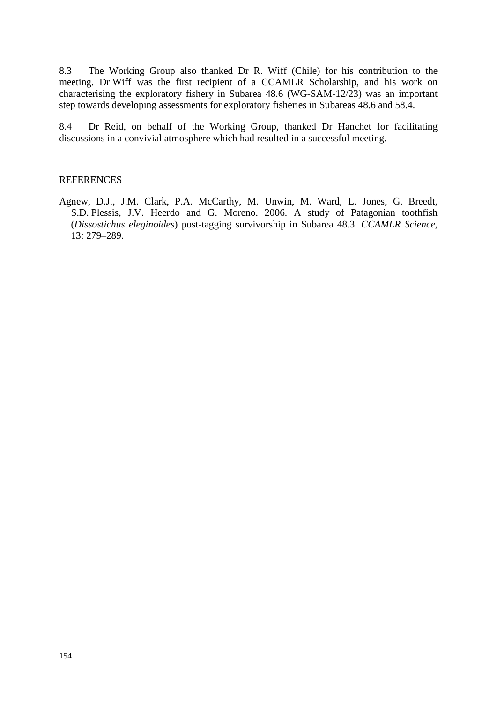<span id="page-21-0"></span>8.3 The Working Group also thanked Dr R. Wiff (Chile) for his contribution to the meeting. Dr Wiff was the first recipient of a CCAMLR Scholarship, and his work on characterising the exploratory fishery in Subarea 48.6 (WG-SAM-12/23) was an important step towards developing assessments for exploratory fisheries in Subareas 48.6 and 58.4.

8.4 Dr Reid, on behalf of the Working Group, thanked Dr Hanchet for facilitating discussions in a convivial atmosphere which had resulted in a successful meeting.

#### **REFERENCES**

Agnew, D.J., J.M. Clark, P.A. McCarthy, M. Unwin, M. Ward, L. Jones, G. Breedt, S.D. Plessis, J.V. Heerdo and G. Moreno. 2006. A study of Patagonian toothfish (*Dissostichus eleginoides*) post-tagging survivorship in Subarea 48.3. *CCAMLR Science*, 13: 279–289.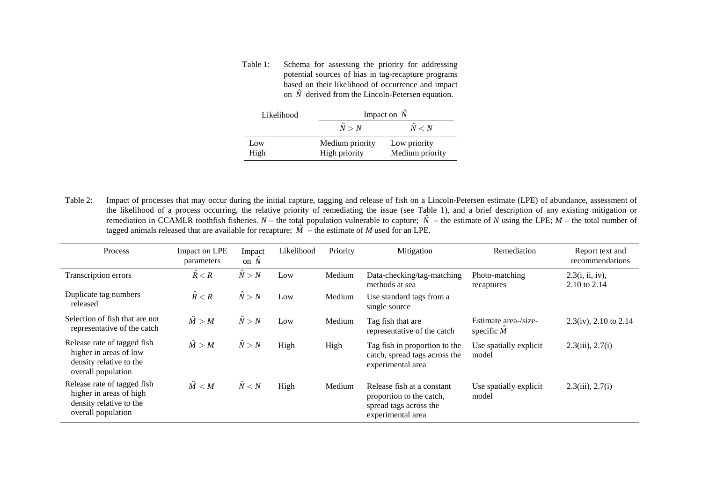Table 1: Schema for assessing the priority for addressing potential sources of bias in tag-recapture programs based on their likelihood of occurrence and impact on  $\hat{N}$  derived from the Lincoln-Petersen equation.

| Likelihood | Impact on $\hat{N}$ |                 |  |
|------------|---------------------|-----------------|--|
|            | $\hat{N} > N$       | $\hat{N} < N$   |  |
| Low        | Medium priority     | Low priority    |  |
| High       | High priority       | Medium priority |  |

<span id="page-22-0"></span>Table 2: Impact of processes that may occur during the initial capture, tagging and release of fish on a Lincoln-Petersen estimate (LPE) of abundance, assessment of the likelihood of a process occurring, the relative priority of remediating the issue (see Table 1), and a brief description of any existing mitigation or remediation in CCAMLR toothfish fisheries.  $N -$  the total population vulnerable to capture;  $\hat{N}$  – the estimate of *N* using the LPE;  $M -$  the total number of tagged animals released that are available for recapture;  $\hat{M}$  – the estimate of *M* used for an LPE.

| Process                                                                                                 | Impact on LPE<br>parameters | Impact<br>on $N$ | Likelihood | Priority | Mitigation                                                                                            | Remediation                                | Report text and<br>recommendations |
|---------------------------------------------------------------------------------------------------------|-----------------------------|------------------|------------|----------|-------------------------------------------------------------------------------------------------------|--------------------------------------------|------------------------------------|
| Transcription errors                                                                                    | $\hat{R} < R$               | $\hat{N} > N$    | Low        | Medium   | Data-checking/tag-matching<br>methods at sea                                                          | Photo-matching<br>recaptures               | 2.3(i, ii, iv),<br>2.10 to 2.14    |
| Duplicate tag numbers<br>released                                                                       | $\hat{R} < R$               | $\hat{N} > N$    | Low        | Medium   | Use standard tags from a<br>single source                                                             |                                            |                                    |
| Selection of fish that are not<br>representative of the catch                                           | $\hat{M} > M$               | $\hat{N} > N$    | Low        | Medium   | Tag fish that are<br>representative of the catch                                                      | Estimate area-/size-<br>specific $\hat{M}$ | $2.3(iv)$ , $2.10$ to $2.14$       |
| Release rate of tagged fish<br>higher in areas of low<br>density relative to the<br>overall population  | $\hat{M} > M$               | $\hat{N} > N$    | High       | High     | Tag fish in proportion to the<br>catch, spread tags across the<br>experimental area                   | Use spatially explicit<br>model            | $2.3(iii)$ , $2.7(i)$              |
| Release rate of tagged fish<br>higher in areas of high<br>density relative to the<br>overall population | $\hat{M} < M$               | $\hat{N} < N$    | High       | Medium   | Release fish at a constant<br>proportion to the catch,<br>spread tags across the<br>experimental area | Use spatially explicit<br>model            | $2.3(iii)$ , $2.7(i)$              |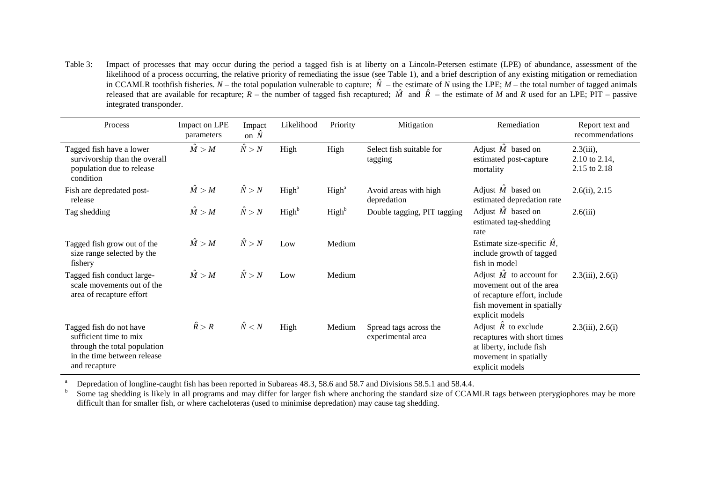Table 3: Impact of processes that may occur during the period a tagged fish is at liberty on a Lincoln-Petersen estimate (LPE) of abundance, assessment of the likelihood of a process occurring, the relative priority of remediating the issue (see Table 1), and a brief description of any existing mitigation or remediation in CCAMLR toothfish fisheries.  $N$  – the total population vulnerable to capture;  $\hat{N}$  – the estimate of *N* using the LPE;  $M$  – the total number of tagged animals released that are available for recapture;  $R$  – the number of tagged fish recaptured;  $\hat{M}$  and  $\hat{R}$  – the estimate of  $\hat{M}$  and  $R$  used for an LPE; PIT – passive integrated transponder.

| Process                                                                                                                           | Impact on LPE<br>parameters | Impact<br>on $\hat{N}$ | Likelihood        | Priority          | Mitigation                                  | Remediation                                                                                                                                  | Report text and<br>recommendations                 |
|-----------------------------------------------------------------------------------------------------------------------------------|-----------------------------|------------------------|-------------------|-------------------|---------------------------------------------|----------------------------------------------------------------------------------------------------------------------------------------------|----------------------------------------------------|
| Tagged fish have a lower<br>survivorship than the overall<br>population due to release<br>condition                               | $\hat{M} > M$               | $\hat{N} > N$          | High              | High              | Select fish suitable for<br>tagging         | Adjust $\hat{M}$ based on<br>estimated post-capture<br>mortality                                                                             | $2.3(iii)$ ,<br>$2.10$ to $2.14$ ,<br>2.15 to 2.18 |
| Fish are depredated post-<br>release                                                                                              | $\hat{M} > M$               | $\hat{N} > N$          | High <sup>a</sup> | High <sup>a</sup> | Avoid areas with high<br>depredation        | Adjust $\hat{M}$ based on<br>estimated depredation rate                                                                                      | $2.6(ii)$ , $2.15$                                 |
| Tag shedding                                                                                                                      | $\hat{M} > M$               | $\hat{N} > N$          | High <sup>b</sup> | High <sup>b</sup> | Double tagging, PIT tagging                 | Adjust $\hat{M}$ based on<br>estimated tag-shedding<br>rate                                                                                  | 2.6(iii)                                           |
| Tagged fish grow out of the<br>size range selected by the<br>fishery                                                              | $\hat{M} > M$               | $\hat{N} > N$          | Low               | Medium            |                                             | Estimate size-specific $\hat{M}$ ,<br>include growth of tagged<br>fish in model                                                              |                                                    |
| Tagged fish conduct large-<br>scale movements out of the<br>area of recapture effort                                              | $\hat{M} > M$               | $\hat{N} > N$          | Low               | Medium            |                                             | Adjust $\hat{M}$ to account for<br>movement out of the area<br>of recapture effort, include<br>fish movement in spatially<br>explicit models | $2.3(iii)$ , $2.6(i)$                              |
| Tagged fish do not have<br>sufficient time to mix<br>through the total population<br>in the time between release<br>and recapture | $\hat{R} > R$               | $\hat{N} < N$          | High              | Medium            | Spread tags across the<br>experimental area | Adjust $\hat{R}$ to exclude<br>recaptures with short times<br>at liberty, include fish<br>movement in spatially<br>explicit models           | $2.3(iii)$ , $2.6(i)$                              |

<sup>a</sup> Depredation of longline-caught fish has been reported in Subareas 48.3, 58.6 and 58.7 and Divisions 58.5.1 and 58.4.4.<br><sup>b</sup> Some tag shedding is likely in all programs and may differ for larger fish where anchoring the difficult than for smaller fish, or where cacheloteras (used to minimise depredation) may cause tag shedding.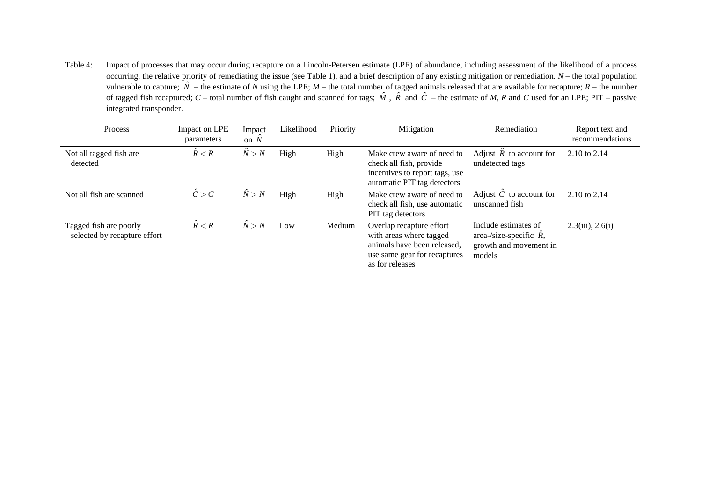Table 4: Impact of processes that may occur during recapture on a Lincoln-Petersen estimate (LPE) of abundance, including assessment of the likelihood of a process occurring, the relative priority of remediating the issue (see Table 1), and a brief description of any existing mitigation or remediation. *N* – the total population vulnerable to capture;  $\hat{N}$  – the estimate of *N* using the LPE; *M* – the total number of tagged animals released that are available for recapture; *R* – the number of tagged fish recaptured; *C* – total number of fish caught and scanned for tags;  $\hat{M}$ ,  $\hat{R}$  and  $\hat{C}$  – the estimate of *M*, *R* and *C* used for an LPE; PIT – passive integrated transponder.

| Process                                                | Impact on LPE<br>parameters | Impact<br>on $N$ | Likelihood | Priority | Mitigation                                                                                                                            | Remediation                                                                                 | Report text and<br>recommendations |
|--------------------------------------------------------|-----------------------------|------------------|------------|----------|---------------------------------------------------------------------------------------------------------------------------------------|---------------------------------------------------------------------------------------------|------------------------------------|
| Not all tagged fish are<br>detected                    | $\hat{R} < R$               | N > N            | High       | High     | Make crew aware of need to<br>check all fish, provide<br>incentives to report tags, use<br>automatic PIT tag detectors                | Adjust $\hat{R}$ to account for<br>undetected tags                                          | 2.10 to 2.14                       |
| Not all fish are scanned                               | $\hat{C} > C$               | $\hat{N} > N$    | High       | High     | Make crew aware of need to<br>check all fish, use automatic<br>PIT tag detectors                                                      | Adjust $\hat{C}$ to account for<br>unscanned fish                                           | 2.10 to 2.14                       |
| Tagged fish are poorly<br>selected by recapture effort | $\hat{R} < R$               | $\hat{N} > N$    | Low        | Medium   | Overlap recapture effort<br>with areas where tagged<br>animals have been released,<br>use same gear for recaptures<br>as for releases | Include estimates of<br>area-/size-specific $\hat{R}$ ,<br>growth and movement in<br>models | $2.3(iii)$ , $2.6(i)$              |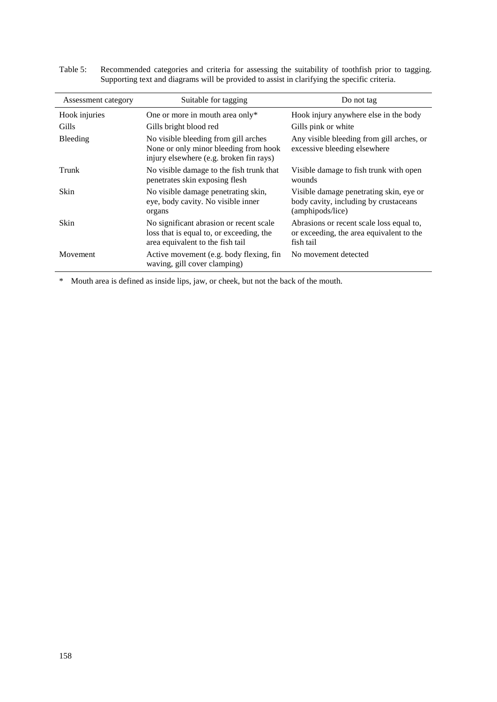| Assessment category | Suitable for tagging                                                                                                     | Do not tag                                                                                           |
|---------------------|--------------------------------------------------------------------------------------------------------------------------|------------------------------------------------------------------------------------------------------|
| Hook injuries       | One or more in mouth area only*                                                                                          | Hook injury anywhere else in the body                                                                |
| Gills               | Gills bright blood red                                                                                                   | Gills pink or white                                                                                  |
| <b>Bleeding</b>     | No visible bleeding from gill arches<br>None or only minor bleeding from hook<br>injury elsewhere (e.g. broken fin rays) | Any visible bleeding from gill arches, or<br>excessive bleeding elsewhere                            |
| Trunk               | No visible damage to the fish trunk that<br>penetrates skin exposing flesh                                               | Visible damage to fish trunk with open<br>wounds                                                     |
| Skin                | No visible damage penetrating skin,<br>eye, body cavity. No visible inner<br>organs                                      | Visible damage penetrating skin, eye or<br>body cavity, including by crustaceans<br>(amphipods/lice) |
| Skin                | No significant abrasion or recent scale<br>loss that is equal to, or exceeding, the<br>area equivalent to the fish tail  | Abrasions or recent scale loss equal to,<br>or exceeding, the area equivalent to the<br>fish tail    |
| <b>Movement</b>     | Active movement (e.g. body flexing, fin<br>waving, gill cover clamping)                                                  | No movement detected                                                                                 |

Table 5: Recommended categories and criteria for assessing the suitability of toothfish prior to tagging. Supporting text and diagrams will be provided to assist in clarifying the specific criteria.

\* Mouth area is defined as inside lips, jaw, or cheek, but not the back of the mouth.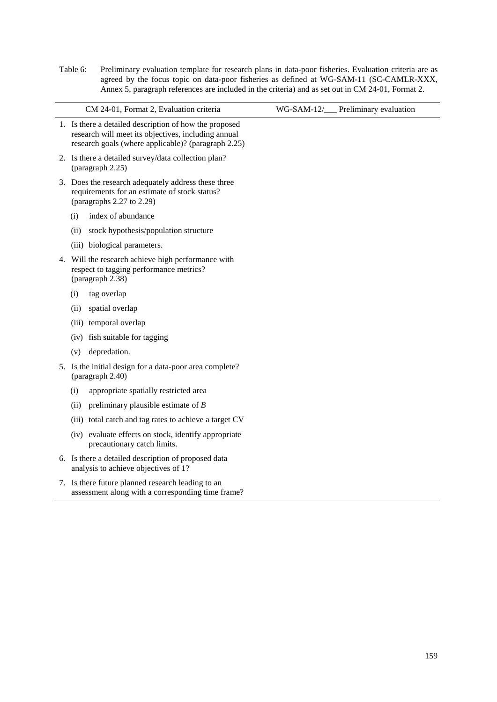Table 6: Preliminary evaluation template for research plans in data-poor fisheries. Evaluation criteria are as agreed by the focus topic on data-poor fisheries as defined at WG-SAM-11 (SC-CAMLR-XXX, Annex 5, paragraph references are included in the criteria) and as set out in CM 24-01, Format 2.

|    | CM 24-01, Format 2, Evaluation criteria                                                                                                                              | WG-SAM-12/ | Preliminary evaluation |
|----|----------------------------------------------------------------------------------------------------------------------------------------------------------------------|------------|------------------------|
|    | 1. Is there a detailed description of how the proposed<br>research will meet its objectives, including annual<br>research goals (where applicable)? (paragraph 2.25) |            |                        |
|    | 2. Is there a detailed survey/data collection plan?<br>(paragraph 2.25)                                                                                              |            |                        |
|    | 3. Does the research adequately address these three<br>requirements for an estimate of stock status?<br>(paragraphs $2.27$ to $2.29$ )                               |            |                        |
|    | index of abundance<br>(i)                                                                                                                                            |            |                        |
|    | (ii)<br>stock hypothesis/population structure                                                                                                                        |            |                        |
|    | (iii) biological parameters.                                                                                                                                         |            |                        |
| 4. | Will the research achieve high performance with<br>respect to tagging performance metrics?<br>(paragraph 2.38)                                                       |            |                        |
|    | tag overlap<br>(i)                                                                                                                                                   |            |                        |
|    | (ii)<br>spatial overlap                                                                                                                                              |            |                        |
|    | temporal overlap<br>(iii)                                                                                                                                            |            |                        |
|    | fish suitable for tagging<br>(iv)                                                                                                                                    |            |                        |
|    | depredation.<br>(v)                                                                                                                                                  |            |                        |
|    | 5. Is the initial design for a data-poor area complete?<br>(paragraph 2.40)                                                                                          |            |                        |
|    | (i)<br>appropriate spatially restricted area                                                                                                                         |            |                        |
|    | (ii)<br>preliminary plausible estimate of $B$                                                                                                                        |            |                        |
|    | (iii) total catch and tag rates to achieve a target CV                                                                                                               |            |                        |
|    | (iv) evaluate effects on stock, identify appropriate<br>precautionary catch limits.                                                                                  |            |                        |
|    | 6. Is there a detailed description of proposed data<br>analysis to achieve objectives of 1?                                                                          |            |                        |
|    | 7. Is there future planned research leading to an<br>assessment along with a corresponding time frame?                                                               |            |                        |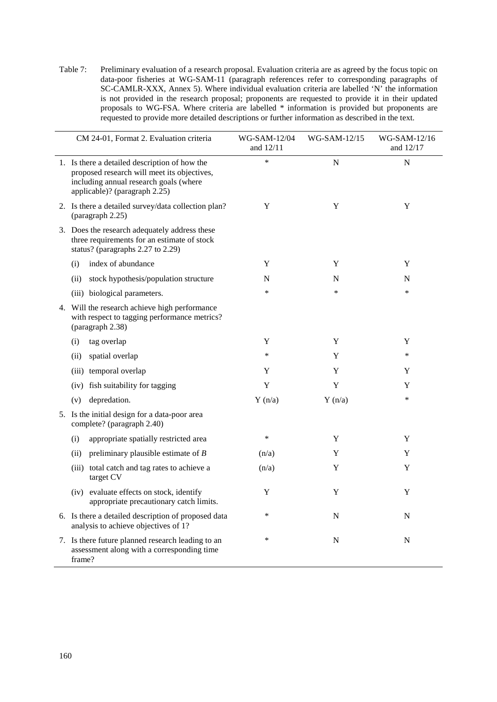Table 7: Preliminary evaluation of a research proposal. Evaluation criteria are as agreed by the focus topic on data-poor fisheries at WG-SAM-11 (paragraph references refer to corresponding paragraphs of SC-CAMLR-XXX, Annex 5). Where individual evaluation criteria are labelled 'N' the information is not provided in the research proposal; proponents are requested to provide it in their updated proposals to WG-FSA. Where criteria are labelled \* information is provided but proponents are requested to provide more detailed descriptions or further information as described in the text.

| CM 24-01, Format 2. Evaluation criteria                                                                                                                                 | WG-SAM-12/04<br>and 12/11 | WG-SAM-12/15 | WG-SAM-12/16<br>and 12/17 |
|-------------------------------------------------------------------------------------------------------------------------------------------------------------------------|---------------------------|--------------|---------------------------|
| 1. Is there a detailed description of how the<br>proposed research will meet its objectives,<br>including annual research goals (where<br>applicable)? (paragraph 2.25) | ∗                         | $\mathbf N$  | $\mathbf N$               |
| 2. Is there a detailed survey/data collection plan?<br>(paragraph 2.25)                                                                                                 | Y                         | Y            | Y                         |
| 3. Does the research adequately address these<br>three requirements for an estimate of stock<br>status? (paragraphs 2.27 to 2.29)                                       |                           |              |                           |
| index of abundance<br>(i)                                                                                                                                               | Y                         | Y            | Y                         |
| stock hypothesis/population structure<br>(ii)                                                                                                                           | N                         | N            | N                         |
| (iii) biological parameters.                                                                                                                                            | ∗                         | ∗            | *                         |
| 4. Will the research achieve high performance<br>with respect to tagging performance metrics?<br>(paragraph 2.38)                                                       |                           |              |                           |
| (i)<br>tag overlap                                                                                                                                                      | Y                         | Y            | Y                         |
| spatial overlap<br>(ii)                                                                                                                                                 | ∗                         | Y            | *                         |
| temporal overlap<br>(iii)                                                                                                                                               | Y                         | Y            | Y                         |
| fish suitability for tagging<br>(iv)                                                                                                                                    | Y                         | Y            | Y                         |
| depredation.<br>(v)                                                                                                                                                     | Y(n/a)                    | Y(n/a)       | *                         |
| 5. Is the initial design for a data-poor area<br>complete? (paragraph 2.40)                                                                                             |                           |              |                           |
| (i)<br>appropriate spatially restricted area                                                                                                                            | ∗                         | Y            | Y                         |
| preliminary plausible estimate of $B$<br>(ii)                                                                                                                           | (n/a)                     | Y            | Y                         |
| (iii) total catch and tag rates to achieve a<br>target CV                                                                                                               | (n/a)                     | Y            | Y                         |
| (iv) evaluate effects on stock, identify<br>appropriate precautionary catch limits.                                                                                     | Y                         | Y            | Y                         |
| 6. Is there a detailed description of proposed data<br>analysis to achieve objectives of 1?                                                                             | ∗                         | N            | N                         |
| 7. Is there future planned research leading to an<br>assessment along with a corresponding time<br>frame?                                                               | ∗                         | N            | N                         |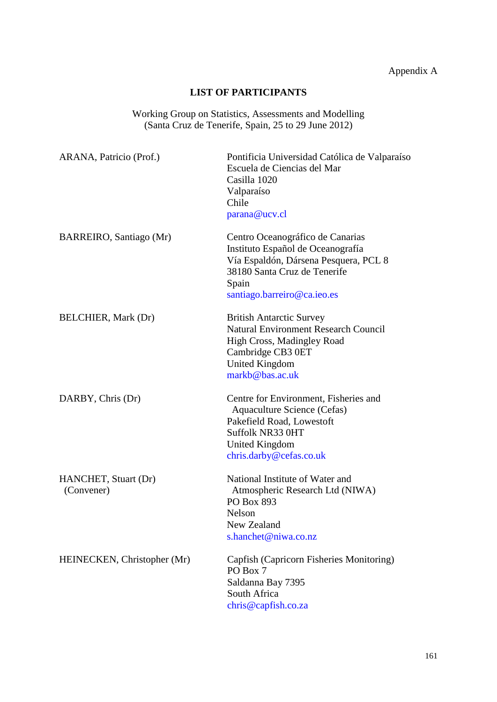# Appendix A

## **LIST OF PARTICIPANTS**

Working Group on Statistics, Assessments and Modelling (Santa Cruz de Tenerife, Spain, 25 to 29 June 2012)

<span id="page-28-0"></span>

| ARANA, Patricio (Prof.)            | Pontificia Universidad Católica de Valparaíso<br>Escuela de Ciencias del Mar<br>Casilla 1020<br>Valparaíso<br>Chile<br>parana@ucv.cl                                                   |
|------------------------------------|----------------------------------------------------------------------------------------------------------------------------------------------------------------------------------------|
| BARREIRO, Santiago (Mr)            | Centro Oceanográfico de Canarias<br>Instituto Español de Oceanografía<br>Vía Espaldón, Dársena Pesquera, PCL 8<br>38180 Santa Cruz de Tenerife<br>Spain<br>santiago.barreiro@ca.ieo.es |
| <b>BELCHIER</b> , Mark (Dr)        | <b>British Antarctic Survey</b><br><b>Natural Environment Research Council</b><br>High Cross, Madingley Road<br>Cambridge CB3 0ET<br>United Kingdom<br>markb@bas.ac.uk                 |
| DARBY, Chris (Dr)                  | Centre for Environment, Fisheries and<br>Aquaculture Science (Cefas)<br>Pakefield Road, Lowestoft<br>Suffolk NR33 0HT<br><b>United Kingdom</b><br>chris.darby@cefas.co.uk              |
| HANCHET, Stuart (Dr)<br>(Convener) | National Institute of Water and<br>Atmospheric Research Ltd (NIWA)<br>PO Box 893<br>Nelson<br>New Zealand<br>s.hanchet@niwa.co.nz                                                      |
| HEINECKEN, Christopher (Mr)        | Capfish (Capricorn Fisheries Monitoring)<br>PO Box 7<br>Saldanna Bay 7395<br>South Africa<br>chris@capfish.co.za                                                                       |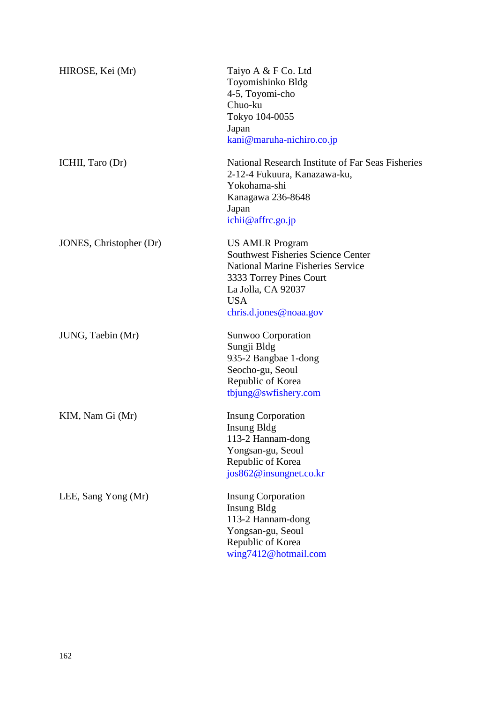| HIROSE, Kei (Mr)        | Taiyo A & F Co. Ltd<br>Toyomishinko Bldg<br>4-5, Toyomi-cho<br>Chuo-ku<br>Tokyo 104-0055<br>Japan<br>kani@maruha-nichiro.co.jp                                                                           |
|-------------------------|----------------------------------------------------------------------------------------------------------------------------------------------------------------------------------------------------------|
| ICHII, Taro (Dr)        | National Research Institute of Far Seas Fisheries<br>2-12-4 Fukuura, Kanazawa-ku,<br>Yokohama-shi<br>Kanagawa 236-8648<br>Japan<br>ichii@affrc.go.jp                                                     |
| JONES, Christopher (Dr) | <b>US AMLR Program</b><br><b>Southwest Fisheries Science Center</b><br><b>National Marine Fisheries Service</b><br>3333 Torrey Pines Court<br>La Jolla, CA 92037<br><b>USA</b><br>chris.d.jones@noaa.gov |
| JUNG, Taebin (Mr)       | Sunwoo Corporation<br>Sungji Bldg<br>935-2 Bangbae 1-dong<br>Seocho-gu, Seoul<br>Republic of Korea<br>tbjung@swfishery.com                                                                               |
| KIM, Nam Gi (Mr)        | <b>Insung Corporation</b><br><b>Insung Bldg</b><br>113-2 Hannam-dong<br>Yongsan-gu, Seoul<br>Republic of Korea<br>jos862@insungnet.co.kr                                                                 |
| LEE, Sang Yong (Mr)     | <b>Insung Corporation</b><br><b>Insung Bldg</b><br>113-2 Hannam-dong<br>Yongsan-gu, Seoul<br>Republic of Korea<br>wing7412@hotmail.com                                                                   |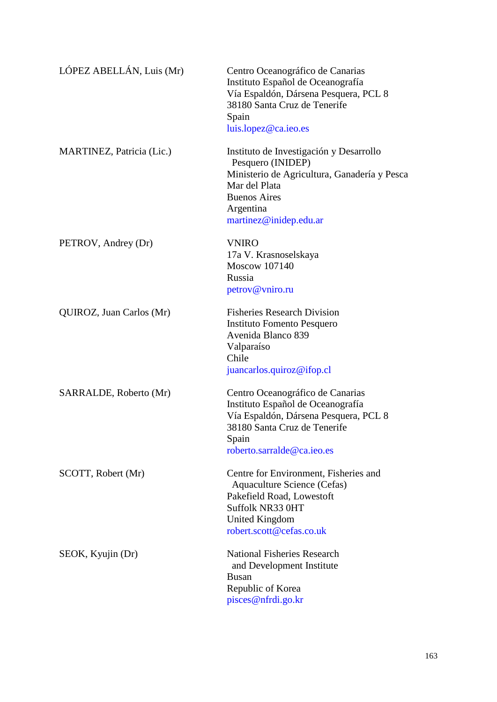| LÓPEZ ABELLÁN, Luis (Mr)  | Centro Oceanográfico de Canarias<br>Instituto Español de Oceanografía<br>Vía Espaldón, Dársena Pesquera, PCL 8<br>38180 Santa Cruz de Tenerife<br>Spain<br>luis.lopez@ca.ieo.es             |
|---------------------------|---------------------------------------------------------------------------------------------------------------------------------------------------------------------------------------------|
| MARTINEZ, Patricia (Lic.) | Instituto de Investigación y Desarrollo<br>Pesquero (INIDEP)<br>Ministerio de Agricultura, Ganadería y Pesca<br>Mar del Plata<br><b>Buenos Aires</b><br>Argentina<br>martinez@inidep.edu.ar |
| PETROV, Andrey (Dr)       | <b>VNIRO</b><br>17a V. Krasnoselskaya<br>Moscow 107140<br>Russia<br>petrov@vniro.ru                                                                                                         |
| QUIROZ, Juan Carlos (Mr)  | <b>Fisheries Research Division</b><br>Instituto Fomento Pesquero<br>Avenida Blanco 839<br>Valparaíso<br>Chile<br>juancarlos.quiroz@ifop.cl                                                  |
| SARRALDE, Roberto (Mr)    | Centro Oceanográfico de Canarias<br>Instituto Español de Oceanografía<br>Vía Espaldón, Dársena Pesquera, PCL 8<br>38180 Santa Cruz de Tenerife<br>Spain<br>roberto.sarralde@ca.ieo.es       |
| SCOTT, Robert (Mr)        | Centre for Environment, Fisheries and<br>Aquaculture Science (Cefas)<br>Pakefield Road, Lowestoft<br>Suffolk NR33 0HT<br><b>United Kingdom</b><br>robert.scott@cefas.co.uk                  |
| SEOK, Kyujin (Dr)         | <b>National Fisheries Research</b><br>and Development Institute<br><b>Busan</b><br>Republic of Korea<br>pisces@nfrdi.go.kr                                                                  |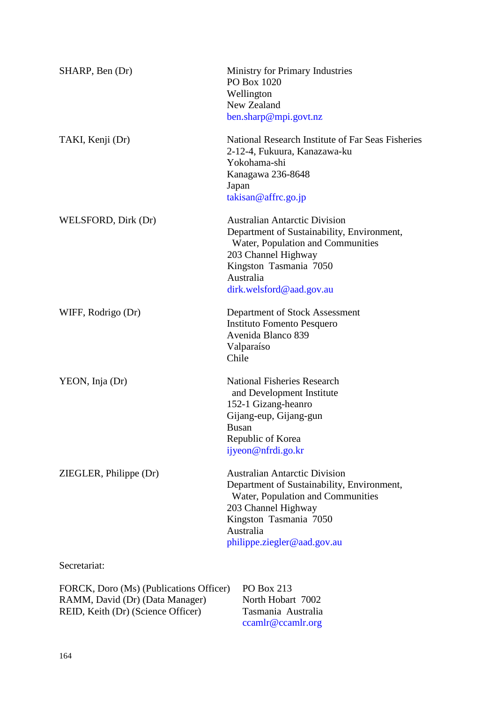| SHARP, Ben (Dr)                                     | <b>Ministry for Primary Industries</b><br>PO Box 1020<br>Wellington<br>New Zealand<br>ben.sharp@mpi.govt.nz                                                                                                          |
|-----------------------------------------------------|----------------------------------------------------------------------------------------------------------------------------------------------------------------------------------------------------------------------|
| TAKI, Kenji (Dr)                                    | National Research Institute of Far Seas Fisheries<br>2-12-4, Fukuura, Kanazawa-ku<br>Yokohama-shi<br>Kanagawa 236-8648<br>Japan<br>takisan@affrc.go.jp                                                               |
| WELSFORD, Dirk (Dr)                                 | <b>Australian Antarctic Division</b><br>Department of Sustainability, Environment,<br>Water, Population and Communities<br>203 Channel Highway<br>Kingston Tasmania 7050<br>Australia<br>dirk.welsford@aad.gov.au    |
| WIFF, Rodrigo (Dr)                                  | Department of Stock Assessment<br><b>Instituto Fomento Pesquero</b><br>Avenida Blanco 839<br>Valparaíso<br>Chile                                                                                                     |
| YEON, Inja (Dr)                                     | <b>National Fisheries Research</b><br>and Development Institute<br>152-1 Gizang-heanro<br>Gijang-eup, Gijang-gun<br><b>Busan</b><br>Republic of Korea<br>ijyeon@nfrdi.go.kr                                          |
| ZIEGLER, Philippe (Dr)                              | <b>Australian Antarctic Division</b><br>Department of Sustainability, Environment,<br>Water, Population and Communities<br>203 Channel Highway<br>Kingston Tasmania 7050<br>Australia<br>philippe.ziegler@aad.gov.au |
| Secretariat:                                        |                                                                                                                                                                                                                      |
| $FORCK$ Doro (Ms) (Publications Officer) PO Box 213 |                                                                                                                                                                                                                      |

| FORCK, Doro (Ms) (Publications Officer) | PO Box 213         |
|-----------------------------------------|--------------------|
| RAMM, David (Dr) (Data Manager)         | North Hobart 7002  |
| REID, Keith (Dr) (Science Officer)      | Tasmania Australia |
|                                         | ccamlr@ccamlr.org  |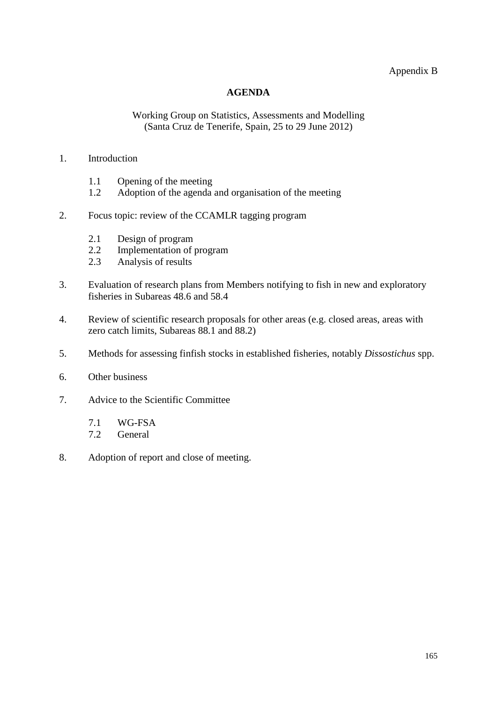Appendix B

## **AGENDA**

#### Working Group on Statistics, Assessments and Modelling (Santa Cruz de Tenerife, Spain, 25 to 29 June 2012)

#### <span id="page-32-0"></span>1. Introduction

- 1.1 Opening of the meeting
- 1.2 Adoption of the agenda and organisation of the meeting
- 2. Focus topic: review of the CCAMLR tagging program
	- 2.1 Design of program
	- 2.2 Implementation of program<br>2.3 Analysis of results
	- Analysis of results
- 3. Evaluation of research plans from Members notifying to fish in new and exploratory fisheries in Subareas 48.6 and 58.4
- 4. Review of scientific research proposals for other areas (e.g. closed areas, areas with zero catch limits, Subareas 88.1 and 88.2)
- 5. Methods for assessing finfish stocks in established fisheries, notably *Dissostichus* spp.
- 6. Other business
- 7. Advice to the Scientific Committee
	- 7.1 WG-FSA<br>7.2 General
	- General
- 8. Adoption of report and close of meeting.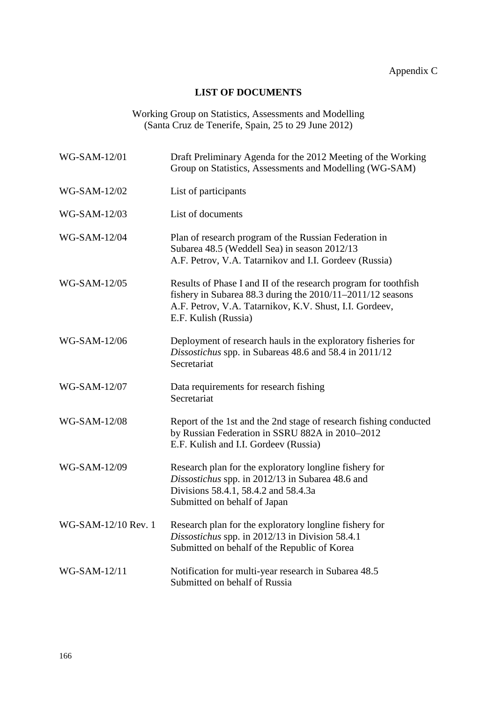# **LIST OF DOCUMENTS**

Working Group on Statistics, Assessments and Modelling (Santa Cruz de Tenerife, Spain, 25 to 29 June 2012)

<span id="page-33-0"></span>

| WG-SAM-12/01        | Draft Preliminary Agenda for the 2012 Meeting of the Working<br>Group on Statistics, Assessments and Modelling (WG-SAM)                                                                                          |
|---------------------|------------------------------------------------------------------------------------------------------------------------------------------------------------------------------------------------------------------|
| WG-SAM-12/02        | List of participants                                                                                                                                                                                             |
| WG-SAM-12/03        | List of documents                                                                                                                                                                                                |
| WG-SAM-12/04        | Plan of research program of the Russian Federation in<br>Subarea 48.5 (Weddell Sea) in season 2012/13<br>A.F. Petrov, V.A. Tatarnikov and I.I. Gordeev (Russia)                                                  |
| WG-SAM-12/05        | Results of Phase I and II of the research program for toothfish<br>fishery in Subarea 88.3 during the 2010/11-2011/12 seasons<br>A.F. Petrov, V.A. Tatarnikov, K.V. Shust, I.I. Gordeev,<br>E.F. Kulish (Russia) |
| WG-SAM-12/06        | Deployment of research hauls in the exploratory fisheries for<br>Dissostichus spp. in Subareas 48.6 and 58.4 in 2011/12<br>Secretariat                                                                           |
| WG-SAM-12/07        | Data requirements for research fishing<br>Secretariat                                                                                                                                                            |
| WG-SAM-12/08        | Report of the 1st and the 2nd stage of research fishing conducted<br>by Russian Federation in SSRU 882A in 2010-2012<br>E.F. Kulish and I.I. Gordeev (Russia)                                                    |
| WG-SAM-12/09        | Research plan for the exploratory longline fishery for<br>Dissostichus spp. in 2012/13 in Subarea 48.6 and<br>Divisions 58.4.1, 58.4.2 and 58.4.3a<br>Submitted on behalf of Japan                               |
| WG-SAM-12/10 Rev. 1 | Research plan for the exploratory longline fishery for<br>Dissostichus spp. in 2012/13 in Division 58.4.1<br>Submitted on behalf of the Republic of Korea                                                        |
| WG-SAM-12/11        | Notification for multi-year research in Subarea 48.5<br>Submitted on behalf of Russia                                                                                                                            |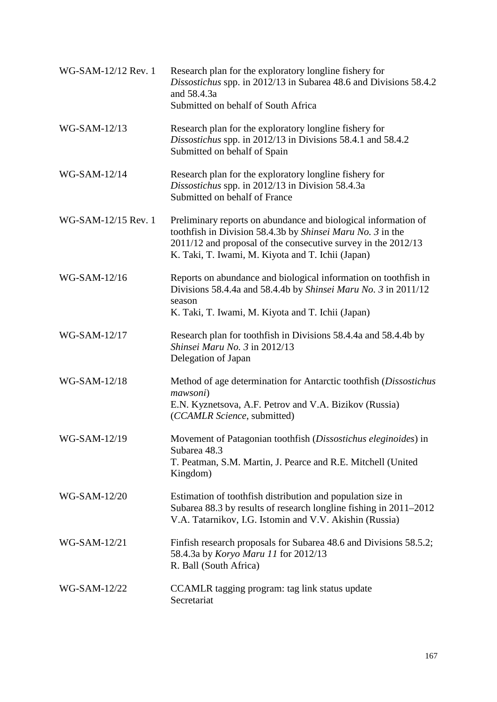| WG-SAM-12/12 Rev. 1 | Research plan for the exploratory longline fishery for<br>Dissostichus spp. in 2012/13 in Subarea 48.6 and Divisions 58.4.2<br>and 58.4.3a<br>Submitted on behalf of South Africa                                                                  |
|---------------------|----------------------------------------------------------------------------------------------------------------------------------------------------------------------------------------------------------------------------------------------------|
| WG-SAM-12/13        | Research plan for the exploratory longline fishery for<br>Dissostichus spp. in 2012/13 in Divisions 58.4.1 and 58.4.2<br>Submitted on behalf of Spain                                                                                              |
| WG-SAM-12/14        | Research plan for the exploratory longline fishery for<br>Dissostichus spp. in 2012/13 in Division 58.4.3a<br>Submitted on behalf of France                                                                                                        |
| WG-SAM-12/15 Rev. 1 | Preliminary reports on abundance and biological information of<br>toothfish in Division 58.4.3b by Shinsei Maru No. 3 in the<br>2011/12 and proposal of the consecutive survey in the 2012/13<br>K. Taki, T. Iwami, M. Kiyota and T. Ichii (Japan) |
| WG-SAM-12/16        | Reports on abundance and biological information on toothfish in<br>Divisions 58.4.4a and 58.4.4b by Shinsei Maru No. 3 in 2011/12<br>season<br>K. Taki, T. Iwami, M. Kiyota and T. Ichii (Japan)                                                   |
| WG-SAM-12/17        | Research plan for tooth fish in Divisions 58.4.4a and 58.4.4b by<br>Shinsei Maru No. 3 in 2012/13<br>Delegation of Japan                                                                                                                           |
| WG-SAM-12/18        | Method of age determination for Antarctic toothfish (Dissostichus<br>mawsoni)<br>E.N. Kyznetsova, A.F. Petrov and V.A. Bizikov (Russia)<br>(CCAMLR Science, submitted)                                                                             |
| <b>WG-SAM-12/19</b> | Movement of Patagonian toothfish (Dissostichus eleginoides) in<br>Subarea 48.3<br>T. Peatman, S.M. Martin, J. Pearce and R.E. Mitchell (United<br>Kingdom)                                                                                         |
| WG-SAM-12/20        | Estimation of toothfish distribution and population size in<br>Subarea 88.3 by results of research longline fishing in 2011–2012<br>V.A. Tatarnikov, I.G. Istomin and V.V. Akishin (Russia)                                                        |
| WG-SAM-12/21        | Finfish research proposals for Subarea 48.6 and Divisions 58.5.2;<br>58.4.3a by Koryo Maru 11 for 2012/13<br>R. Ball (South Africa)                                                                                                                |
| WG-SAM-12/22        | CCAMLR tagging program: tag link status update<br>Secretariat                                                                                                                                                                                      |